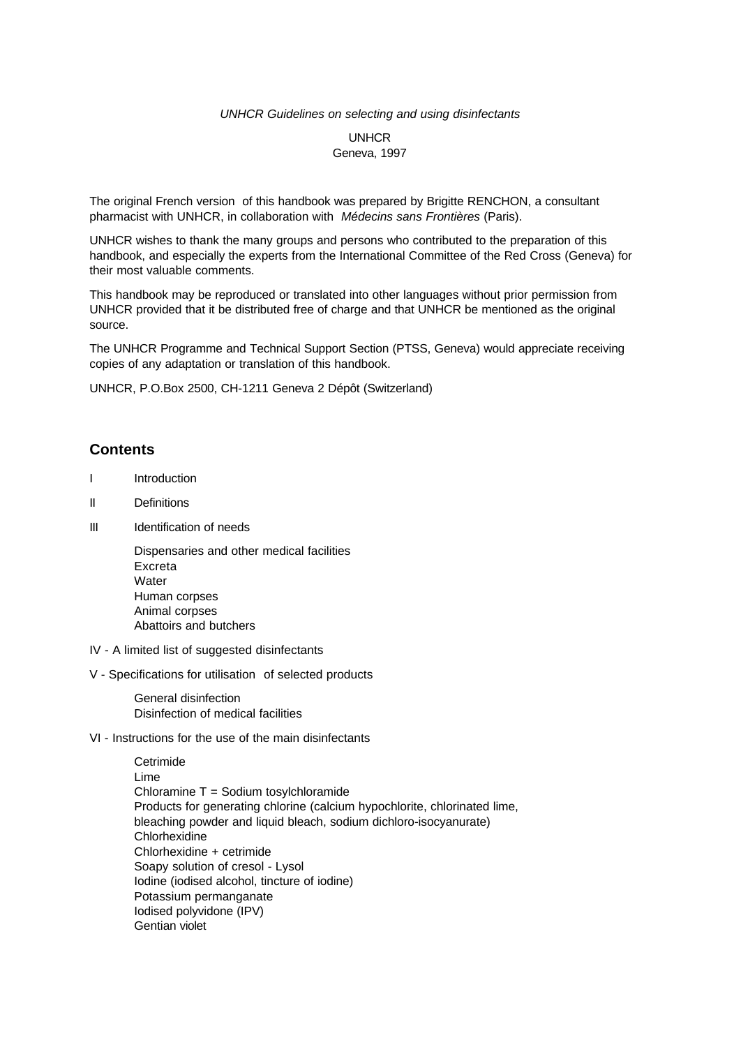#### *UNHCR Guidelines on selecting and using disinfectants*

## UNHCR Geneva, 1997

The original French version of this handbook was prepared by Brigitte RENCHON, a consultant pharmacist with UNHCR, in collaboration with *Médecins sans Frontières* (Paris).

UNHCR wishes to thank the many groups and persons who contributed to the preparation of this handbook, and especially the experts from the International Committee of the Red Cross (Geneva) for their most valuable comments.

This handbook may be reproduced or translated into other languages without prior permission from UNHCR provided that it be distributed free of charge and that UNHCR be mentioned as the original source.

The UNHCR Programme and Technical Support Section (PTSS, Geneva) would appreciate receiving copies of any adaptation or translation of this handbook.

UNHCR, P.O.Box 2500, CH-1211 Geneva 2 Dépôt (Switzerland)

## **Contents**

- I Introduction
- II Definitions
- III Identification of needs

 Dispensaries and other medical facilities Excreta **Water**  Human corpses Animal corpses Abattoirs and butchers

- IV A limited list of suggested disinfectants
- V Specifications for utilisation of selected products

 General disinfection Disinfection of medical facilities

VI - Instructions for the use of the main disinfectants

 Cetrimide Lime Chloramine T = Sodium tosylchloramide Products for generating chlorine (calcium hypochlorite, chlorinated lime, bleaching powder and liquid bleach, sodium dichloro-isocyanurate) Chlorhexidine Chlorhexidine + cetrimide Soapy solution of cresol - Lysol Iodine (iodised alcohol, tincture of iodine) Potassium permanganate Iodised polyvidone (IPV) Gentian violet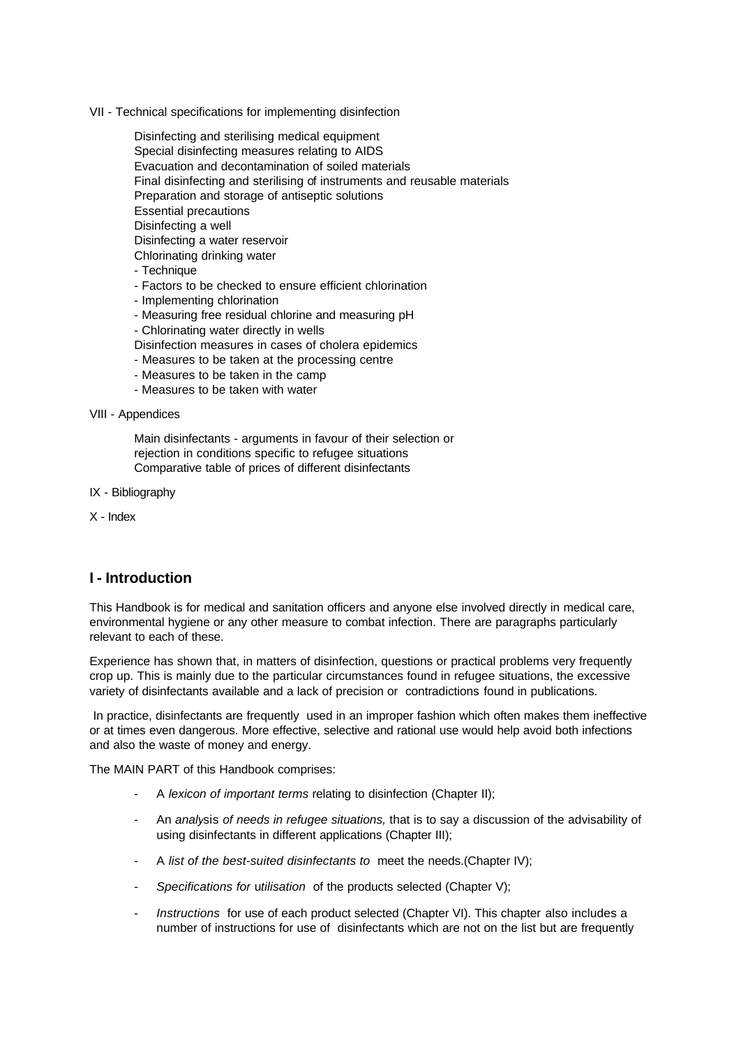VII - Technical specifications for implementing disinfection

 Disinfecting and sterilising medical equipment Special disinfecting measures relating to AIDS Evacuation and decontamination of soiled materials Final disinfecting and sterilising of instruments and reusable materials Preparation and storage of antiseptic solutions Essential precautions Disinfecting a well Disinfecting a water reservoir Chlorinating drinking water - Technique

- Factors to be checked to ensure efficient chlorination
- Implementing chlorination
- Measuring free residual chlorine and measuring pH
- Chlorinating water directly in wells
- Disinfection measures in cases of cholera epidemics
- Measures to be taken at the processing centre
- Measures to be taken in the camp
- Measures to be taken with water

VIII - Appendices

 Main disinfectants - arguments in favour of their selection or rejection in conditions specific to refugee situations Comparative table of prices of different disinfectants

IX - Bibliography

X - Index

## **I - Introduction**

This Handbook is for medical and sanitation officers and anyone else involved directly in medical care, environmental hygiene or any other measure to combat infection. There are paragraphs particularly relevant to each of these.

Experience has shown that, in matters of disinfection, questions or practical problems very frequently crop up. This is mainly due to the particular circumstances found in refugee situations, the excessive variety of disinfectants available and a lack of precision or contradictions found in publications.

 In practice, disinfectants are frequently used in an improper fashion which often makes them ineffective or at times even dangerous. More effective, selective and rational use would help avoid both infections and also the waste of money and energy.

The MAIN PART of this Handbook comprises:

- A *lexicon of important terms* relating to disinfection (Chapter II);
- An *analy*sis *of needs in refugee situations,* that is to say a discussion of the advisability of using disinfectants in different applications (Chapter III);
- A *list of the best-suited disinfectants to* meet the needs.(Chapter IV);
- *Specifications for* u*tilisation* of the products selected (Chapter V);
- Instructions for use of each product selected (Chapter VI). This chapter also includes a number of instructions for use of disinfectants which are not on the list but are frequently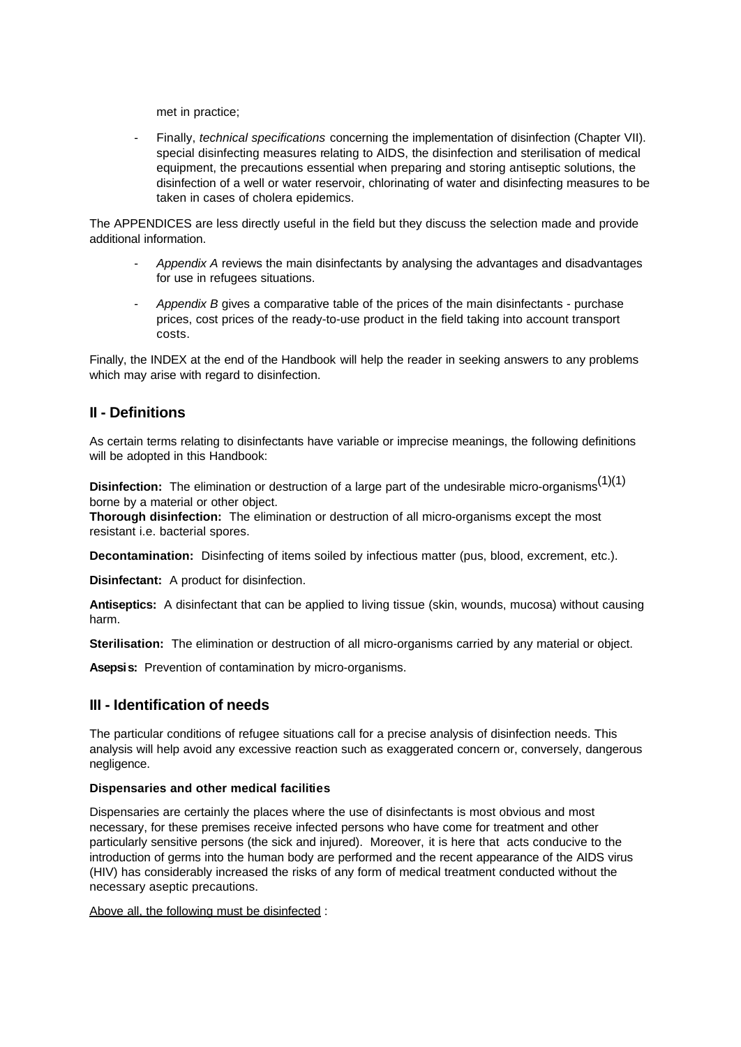met in practice;

- Finally, *technical specifications* concerning the implementation of disinfection (Chapter VII). special disinfecting measures relating to AIDS, the disinfection and sterilisation of medical equipment, the precautions essential when preparing and storing antiseptic solutions, the disinfection of a well or water reservoir, chlorinating of water and disinfecting measures to be taken in cases of cholera epidemics.

The APPENDICES are less directly useful in the field but they discuss the selection made and provide additional information.

- *Appendix A* reviews the main disinfectants by analysing the advantages and disadvantages for use in refugees situations.
- Appendix B gives a comparative table of the prices of the main disinfectants purchase prices, cost prices of the ready-to-use product in the field taking into account transport costs.

Finally, the INDEX at the end of the Handbook will help the reader in seeking answers to any problems which may arise with regard to disinfection.

## **II - Definitions**

As certain terms relating to disinfectants have variable or imprecise meanings, the following definitions will be adopted in this Handbook:

**Disinfection:** The elimination or destruction of a large part of the undesirable micro-organisms<sup>(1)(1)</sup> borne by a material or other object.

**Thorough disinfection:** The elimination or destruction of all micro-organisms except the most resistant i.e. bacterial spores.

**Decontamination:** Disinfecting of items soiled by infectious matter (pus, blood, excrement, etc.).

**Disinfectant:** A product for disinfection.

**Antiseptics:** A disinfectant that can be applied to living tissue (skin, wounds, mucosa) without causing harm.

**Sterilisation:** The elimination or destruction of all micro-organisms carried by any material or object.

**Asepsis:** Prevention of contamination by micro-organisms.

## **III - Identification of needs**

The particular conditions of refugee situations call for a precise analysis of disinfection needs. This analysis will help avoid any excessive reaction such as exaggerated concern or, conversely, dangerous negligence.

### **Dispensaries and other medical facilities**

Dispensaries are certainly the places where the use of disinfectants is most obvious and most necessary, for these premises receive infected persons who have come for treatment and other particularly sensitive persons (the sick and injured). Moreover, it is here that acts conducive to the introduction of germs into the human body are performed and the recent appearance of the AIDS virus (HIV) has considerably increased the risks of any form of medical treatment conducted without the necessary aseptic precautions.

Above all, the following must be disinfected :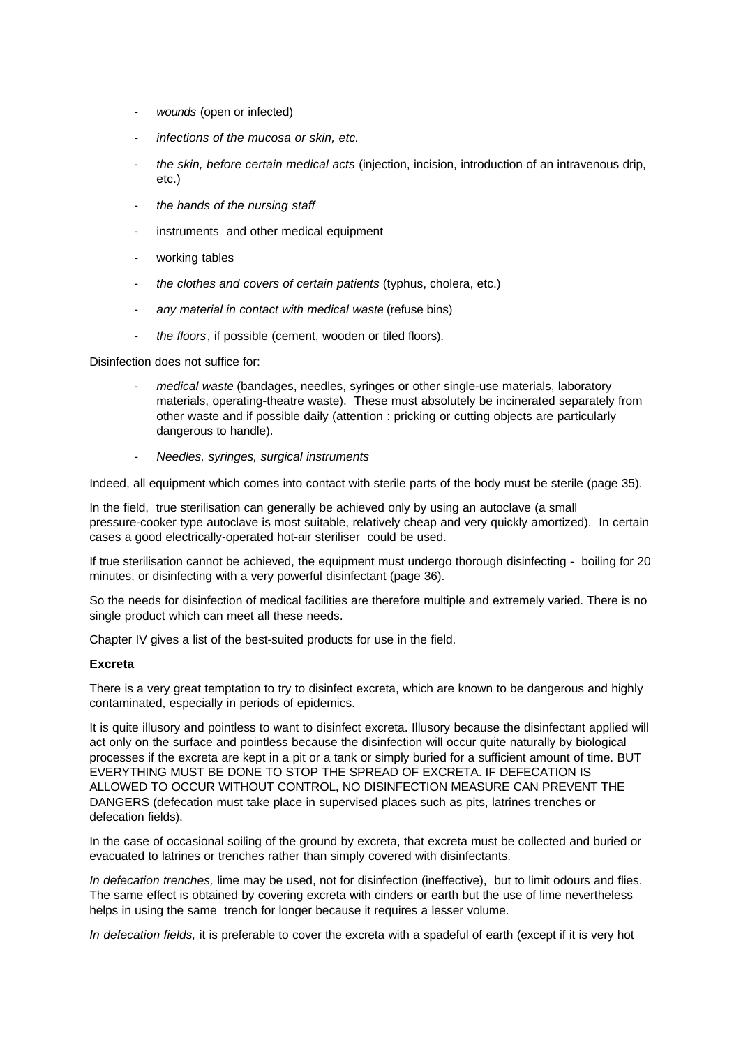- *wounds* (open or infected)
- *infections of the mucosa or skin, etc.*
- *the skin, before certain medical acts* (injection, incision, introduction of an intravenous drip, etc.)
- *the hands of the nursing staff*
- instruments and other medical equipment
- working tables
- *the clothes and covers of certain patients* (typhus, cholera, etc.)
- *any material in contact with medical waste* (refuse bins)
- *the floors*, if possible (cement, wooden or tiled floors).

Disinfection does not suffice for:

- *medical waste* (bandages, needles, syringes or other single-use materials, laboratory materials, operating-theatre waste). These must absolutely be incinerated separately from other waste and if possible daily (attention : pricking or cutting objects are particularly dangerous to handle).
- *Needles, syringes, surgical instruments*

Indeed, all equipment which comes into contact with sterile parts of the body must be sterile (page 35).

In the field, true sterilisation can generally be achieved only by using an autoclave (a small pressure-cooker type autoclave is most suitable, relatively cheap and very quickly amortized). In certain cases a good electrically-operated hot-air steriliser could be used.

If true sterilisation cannot be achieved, the equipment must undergo thorough disinfecting - boiling for 20 minutes, or disinfecting with a very powerful disinfectant (page 36).

So the needs for disinfection of medical facilities are therefore multiple and extremely varied. There is no single product which can meet all these needs.

Chapter IV gives a list of the best-suited products for use in the field.

### **Excreta**

There is a very great temptation to try to disinfect excreta, which are known to be dangerous and highly contaminated, especially in periods of epidemics.

It is quite illusory and pointless to want to disinfect excreta. Illusory because the disinfectant applied will act only on the surface and pointless because the disinfection will occur quite naturally by biological processes if the excreta are kept in a pit or a tank or simply buried for a sufficient amount of time. BUT EVERYTHING MUST BE DONE TO STOP THE SPREAD OF EXCRETA. IF DEFECATION IS ALLOWED TO OCCUR WITHOUT CONTROL, NO DISINFECTION MEASURE CAN PREVENT THE DANGERS (defecation must take place in supervised places such as pits, latrines trenches or defecation fields).

In the case of occasional soiling of the ground by excreta, that excreta must be collected and buried or evacuated to latrines or trenches rather than simply covered with disinfectants.

*In defecation trenches,* lime may be used, not for disinfection (ineffective), but to limit odours and flies. The same effect is obtained by covering excreta with cinders or earth but the use of lime nevertheless helps in using the same trench for longer because it requires a lesser volume.

*In defecation fields,* it is preferable to cover the excreta with a spadeful of earth (except if it is very hot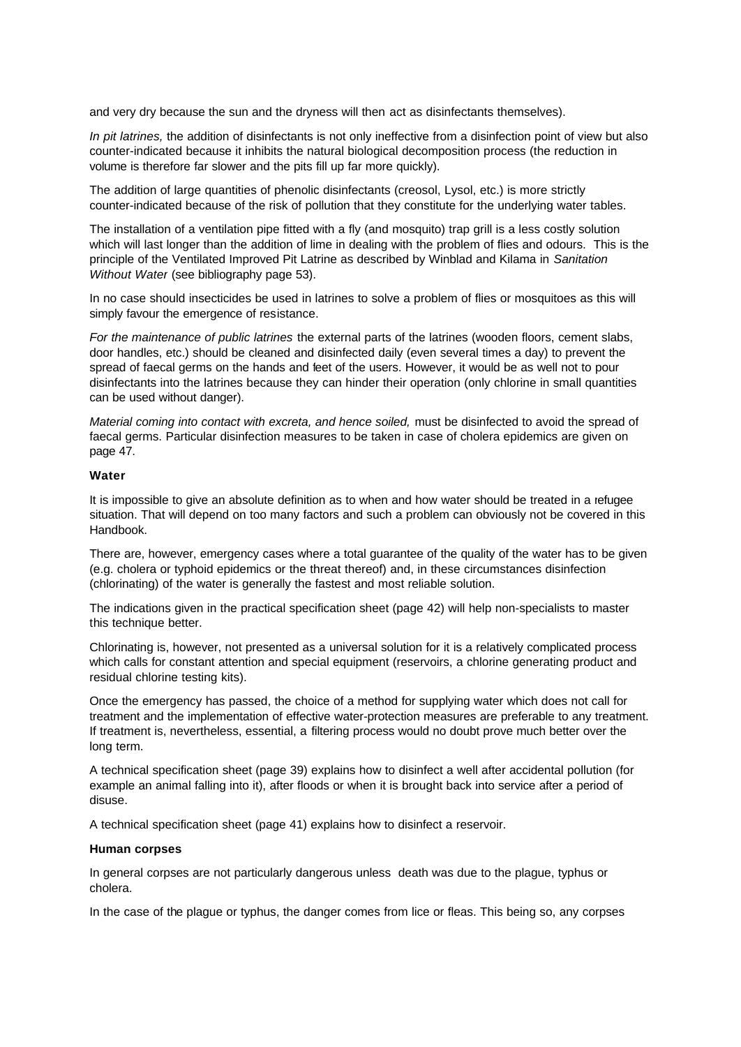and very dry because the sun and the dryness will then act as disinfectants themselves).

*In pit latrines,* the addition of disinfectants is not only ineffective from a disinfection point of view but also counter-indicated because it inhibits the natural biological decomposition process (the reduction in volume is therefore far slower and the pits fill up far more quickly).

The addition of large quantities of phenolic disinfectants (creosol, Lysol, etc.) is more strictly counter-indicated because of the risk of pollution that they constitute for the underlying water tables.

The installation of a ventilation pipe fitted with a fly (and mosquito) trap grill is a less costly solution which will last longer than the addition of lime in dealing with the problem of flies and odours. This is the principle of the Ventilated Improved Pit Latrine as described by Winblad and Kilama in *Sanitation Without Water* (see bibliography page 53).

In no case should insecticides be used in latrines to solve a problem of flies or mosquitoes as this will simply favour the emergence of resistance.

*For the maintenance of public latrines* the external parts of the latrines (wooden floors, cement slabs, door handles, etc.) should be cleaned and disinfected daily (even several times a day) to prevent the spread of faecal germs on the hands and feet of the users. However, it would be as well not to pour disinfectants into the latrines because they can hinder their operation (only chlorine in small quantities can be used without danger).

*Material coming into contact with excreta, and hence soiled,* must be disinfected to avoid the spread of faecal germs. Particular disinfection measures to be taken in case of cholera epidemics are given on page 47.

### **Water**

It is impossible to give an absolute definition as to when and how water should be treated in a refugee situation. That will depend on too many factors and such a problem can obviously not be covered in this Handbook.

There are, however, emergency cases where a total guarantee of the quality of the water has to be given (e.g. cholera or typhoid epidemics or the threat thereof) and, in these circumstances disinfection (chlorinating) of the water is generally the fastest and most reliable solution.

The indications given in the practical specification sheet (page 42) will help non-specialists to master this technique better.

Chlorinating is, however, not presented as a universal solution for it is a relatively complicated process which calls for constant attention and special equipment (reservoirs, a chlorine generating product and residual chlorine testing kits).

Once the emergency has passed, the choice of a method for supplying water which does not call for treatment and the implementation of effective water-protection measures are preferable to any treatment. If treatment is, nevertheless, essential, a filtering process would no doubt prove much better over the long term.

A technical specification sheet (page 39) explains how to disinfect a well after accidental pollution (for example an animal falling into it), after floods or when it is brought back into service after a period of disuse.

A technical specification sheet (page 41) explains how to disinfect a reservoir.

### **Human corpses**

In general corpses are not particularly dangerous unless death was due to the plague, typhus or cholera.

In the case of the plague or typhus, the danger comes from lice or fleas. This being so, any corpses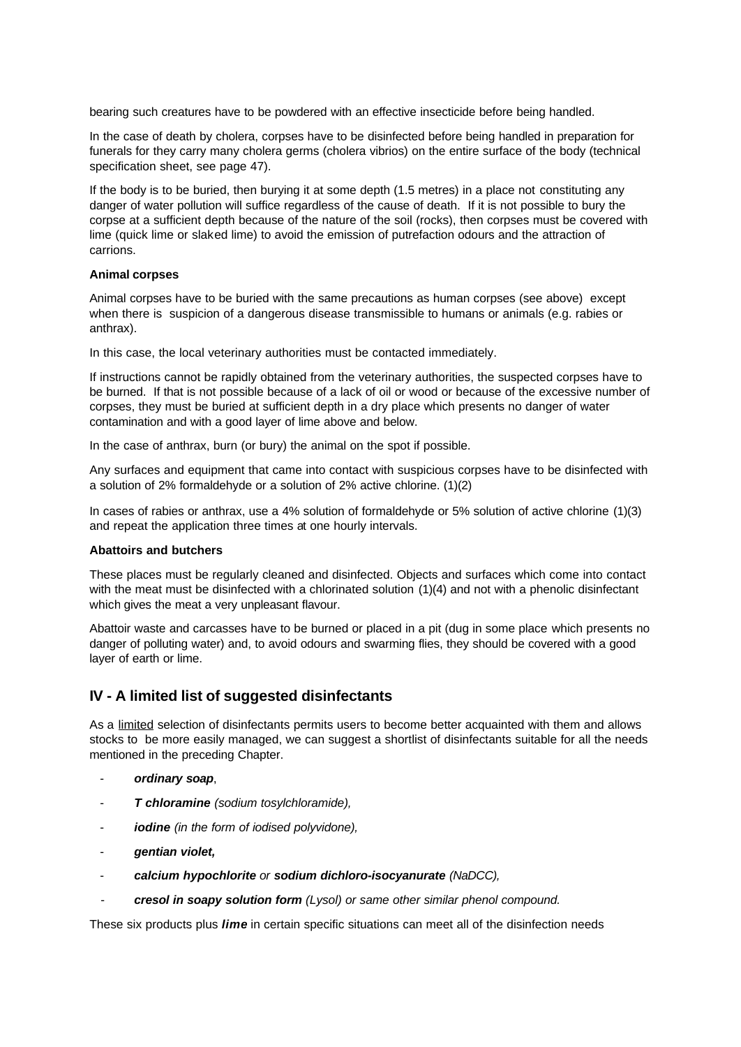bearing such creatures have to be powdered with an effective insecticide before being handled.

In the case of death by cholera, corpses have to be disinfected before being handled in preparation for funerals for they carry many cholera germs (cholera vibrios) on the entire surface of the body (technical specification sheet, see page 47).

If the body is to be buried, then burying it at some depth (1.5 metres) in a place not constituting any danger of water pollution will suffice regardless of the cause of death. If it is not possible to bury the corpse at a sufficient depth because of the nature of the soil (rocks), then corpses must be covered with lime (quick lime or slaked lime) to avoid the emission of putrefaction odours and the attraction of carrions.

### **Animal corpses**

Animal corpses have to be buried with the same precautions as human corpses (see above) except when there is suspicion of a dangerous disease transmissible to humans or animals (e.g. rabies or anthrax).

In this case, the local veterinary authorities must be contacted immediately.

If instructions cannot be rapidly obtained from the veterinary authorities, the suspected corpses have to be burned. If that is not possible because of a lack of oil or wood or because of the excessive number of corpses, they must be buried at sufficient depth in a dry place which presents no danger of water contamination and with a good layer of lime above and below.

In the case of anthrax, burn (or bury) the animal on the spot if possible.

Any surfaces and equipment that came into contact with suspicious corpses have to be disinfected with a solution of 2% formaldehyde or a solution of 2% active chlorine. (1)(2)

In cases of rabies or anthrax, use a 4% solution of formaldehyde or 5% solution of active chlorine (1)(3) and repeat the application three times at one hourly intervals.

### **Abattoirs and butchers**

These places must be regularly cleaned and disinfected. Objects and surfaces which come into contact with the meat must be disinfected with a chlorinated solution (1)(4) and not with a phenolic disinfectant which gives the meat a very unpleasant flavour.

Abattoir waste and carcasses have to be burned or placed in a pit (dug in some place which presents no danger of polluting water) and, to avoid odours and swarming flies, they should be covered with a good layer of earth or lime.

## **IV - A limited list of suggested disinfectants**

As a limited selection of disinfectants permits users to become better acquainted with them and allows stocks to be more easily managed, we can suggest a shortlist of disinfectants suitable for all the needs mentioned in the preceding Chapter.

- *ordinary soap*,
- *T chloramine (sodium tosylchloramide),*
- *iodine (in the form of iodised polyvidone),*
- *gentian violet,*
- *calcium hypochlorite or sodium dichloro-isocyanurate (NaDCC),*
- *cresol in soapy solution form (Lysol) or same other similar phenol compound.*

These six products plus *lime* in certain specific situations can meet all of the disinfection needs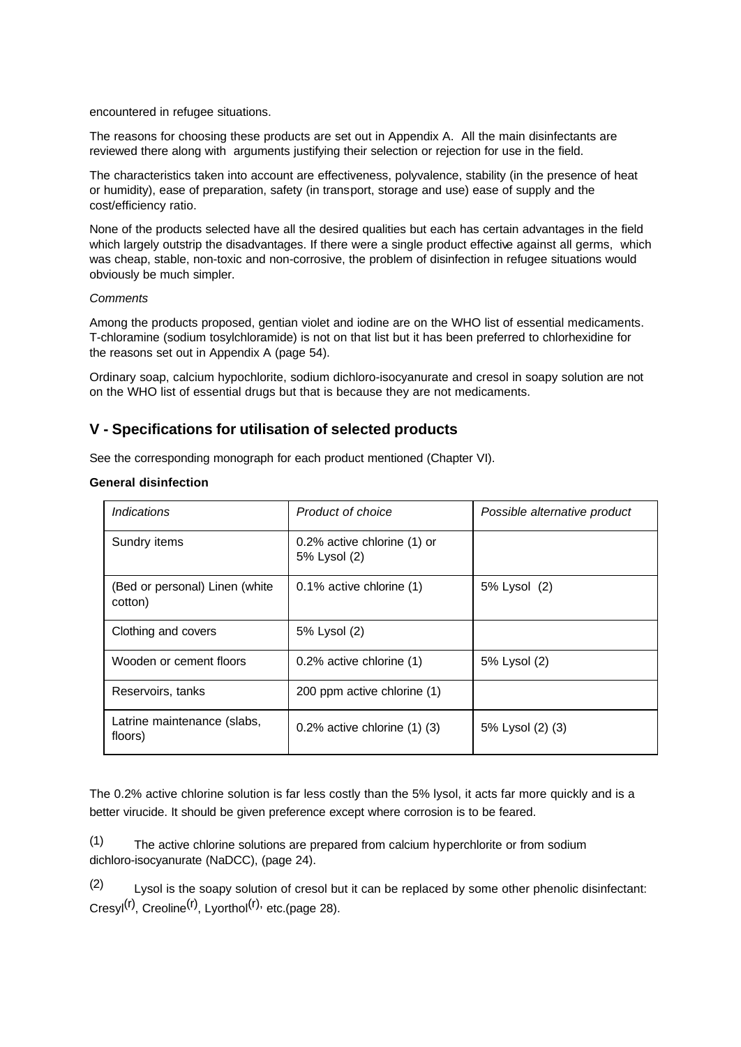encountered in refugee situations.

The reasons for choosing these products are set out in Appendix A. All the main disinfectants are reviewed there along with arguments justifying their selection or rejection for use in the field.

The characteristics taken into account are effectiveness, polyvalence, stability (in the presence of heat or humidity), ease of preparation, safety (in transport, storage and use) ease of supply and the cost/efficiency ratio.

None of the products selected have all the desired qualities but each has certain advantages in the field which largely outstrip the disadvantages. If there were a single product effective against all germs, which was cheap, stable, non-toxic and non-corrosive, the problem of disinfection in refugee situations would obviously be much simpler.

### *Comments*

Among the products proposed, gentian violet and iodine are on the WHO list of essential medicaments. T-chloramine (sodium tosylchloramide) is not on that list but it has been preferred to chlorhexidine for the reasons set out in Appendix A (page 54).

Ordinary soap, calcium hypochlorite, sodium dichloro-isocyanurate and cresol in soapy solution are not on the WHO list of essential drugs but that is because they are not medicaments.

## **V - Specifications for utilisation of selected products**

See the corresponding monograph for each product mentioned (Chapter VI).

## **General disinfection**

| <i><u><b>Indications</b></u></i>          | Product of choice                           | Possible alternative product |
|-------------------------------------------|---------------------------------------------|------------------------------|
| Sundry items                              | 0.2% active chlorine (1) or<br>5% Lysol (2) |                              |
| (Bed or personal) Linen (white<br>cotton) | 0.1% active chlorine (1)                    | 5% Lysol (2)                 |
| Clothing and covers                       | 5% Lysol (2)                                |                              |
| Wooden or cement floors                   | 0.2% active chlorine (1)                    | 5% Lysol (2)                 |
| Reservoirs, tanks                         | 200 ppm active chlorine (1)                 |                              |
| Latrine maintenance (slabs,<br>floors)    | $0.2\%$ active chlorine $(1)$ $(3)$         | 5% Lysol (2) (3)             |

The 0.2% active chlorine solution is far less costly than the 5% lysol, it acts far more quickly and is a better virucide. It should be given preference except where corrosion is to be feared.

(1) The active chlorine solutions are prepared from calcium hyperchlorite or from sodium dichloro-isocyanurate (NaDCC), (page 24).

(2) Lysol is the soapy solution of cresol but it can be replaced by some other phenolic disinfectant:  $Cresyl(r)$ , Creoline<sup>(r)</sup>, Lyorthol<sup>(r),</sup> etc.(page 28).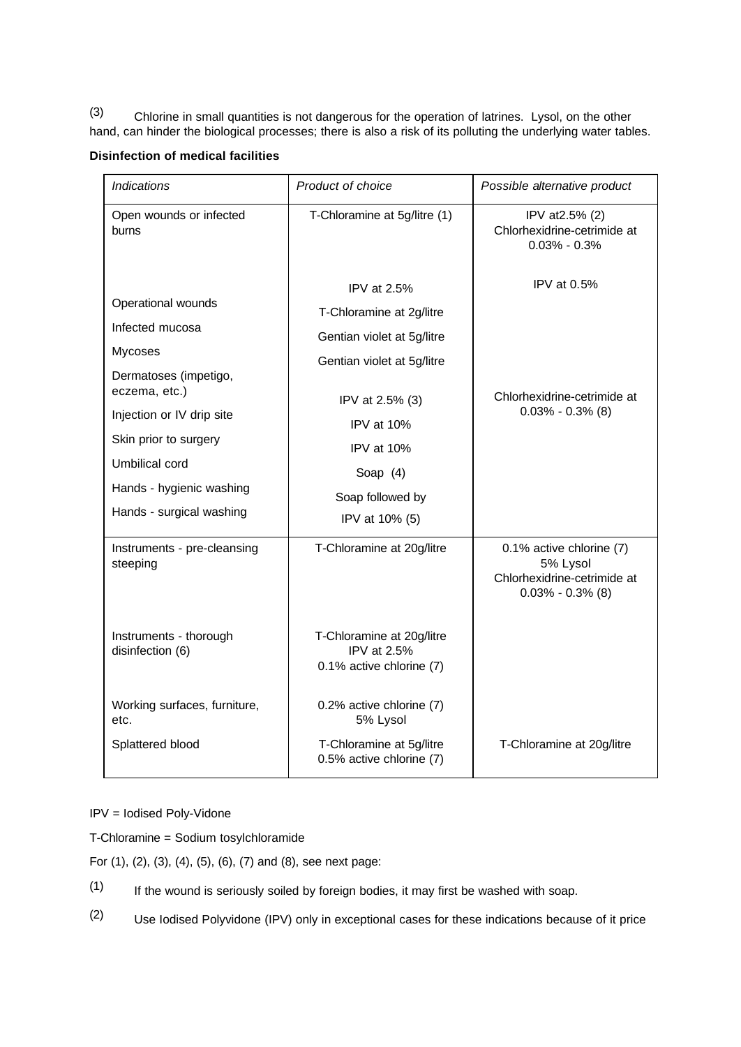(3) Chlorine in small quantities is not dangerous for the operation of latrines. Lysol, on the other hand, can hinder the biological processes; there is also a risk of its polluting the underlying water tables.

## **Disinfection of medical facilities**

| <b>Indications</b>                                                                                                                                                        | Product of choice                                                                                                                                                  | Possible alternative product                                                                |
|---------------------------------------------------------------------------------------------------------------------------------------------------------------------------|--------------------------------------------------------------------------------------------------------------------------------------------------------------------|---------------------------------------------------------------------------------------------|
| Open wounds or infected<br>burns                                                                                                                                          | T-Chloramine at 5g/litre (1)                                                                                                                                       | IPV at 2.5% (2)<br>Chlorhexidrine-cetrimide at<br>$0.03\% - 0.3\%$                          |
| Operational wounds<br>Infected mucosa<br><b>Mycoses</b><br>Dermatoses (impetigo,<br>eczema, etc.)<br>Injection or IV drip site<br>Skin prior to surgery<br>Umbilical cord | IPV at $2.5%$<br>T-Chloramine at 2g/litre<br>Gentian violet at 5g/litre<br>Gentian violet at 5g/litre<br>IPV at 2.5% (3)<br>IPV at 10%<br>IPV at 10%<br>Soap $(4)$ | IPV at $0.5%$<br>Chlorhexidrine-cetrimide at<br>$0.03\% - 0.3\%$ (8)                        |
| Hands - hygienic washing<br>Hands - surgical washing                                                                                                                      | Soap followed by<br>IPV at 10% (5)                                                                                                                                 |                                                                                             |
| Instruments - pre-cleansing<br>steeping                                                                                                                                   | T-Chloramine at 20g/litre                                                                                                                                          | 0.1% active chlorine (7)<br>5% Lysol<br>Chlorhexidrine-cetrimide at<br>$0.03\% - 0.3\%$ (8) |
| Instruments - thorough<br>disinfection (6)                                                                                                                                | T-Chloramine at 20g/litre<br>IPV at 2.5%<br>0.1% active chlorine (7)                                                                                               |                                                                                             |
| Working surfaces, furniture,<br>etc.<br>Splattered blood                                                                                                                  | 0.2% active chlorine (7)<br>5% Lysol<br>T-Chloramine at 5g/litre                                                                                                   | T-Chloramine at 20g/litre                                                                   |
|                                                                                                                                                                           | 0.5% active chlorine (7)                                                                                                                                           |                                                                                             |

IPV = Iodised Poly-Vidone

T-Chloramine = Sodium tosylchloramide

For (1), (2), (3), (4), (5), (6), (7) and (8), see next page:

- (1) If the wound is seriously soiled by foreign bodies, it may first be washed with soap.
- (2) Use Iodised Polyvidone (IPV) only in exceptional cases for these indications because of it price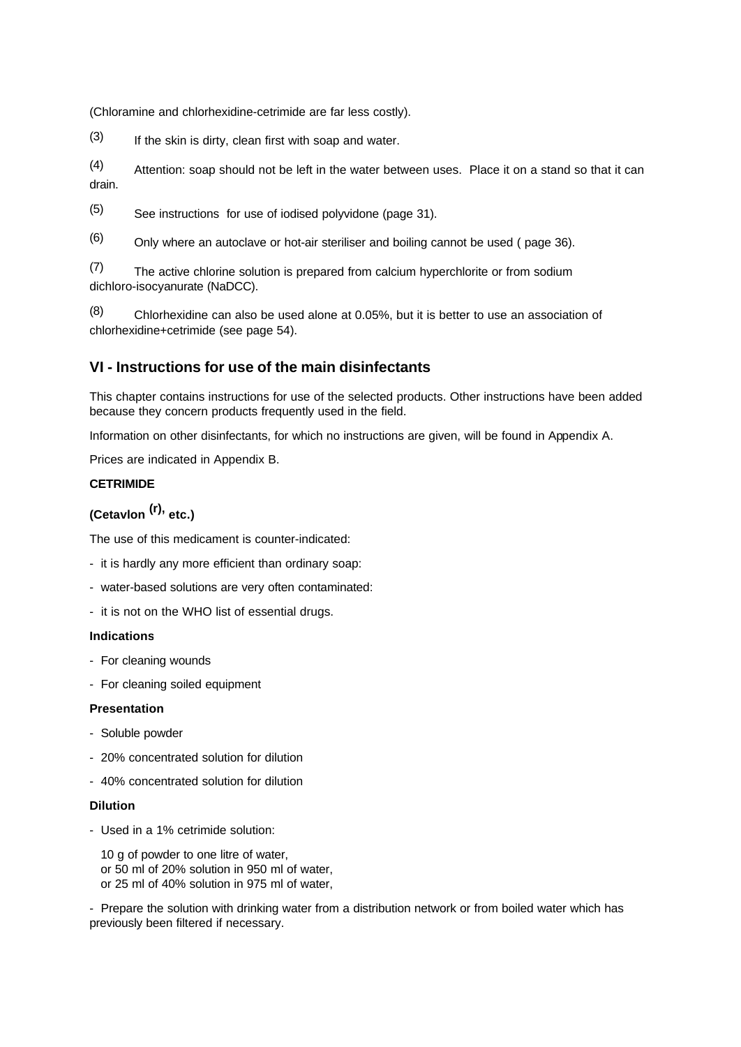(Chloramine and chlorhexidine-cetrimide are far less costly).

(3) If the skin is dirty, clean first with soap and water.

(4) Attention: soap should not be left in the water between uses. Place it on a stand so that it can drain.

(5) See instructions for use of iodised polyvidone (page 31).

(6) Only where an autoclave or hot-air steriliser and boiling cannot be used ( page 36).

(7) The active chlorine solution is prepared from calcium hyperchlorite or from sodium dichloro-isocyanurate (NaDCC).

(8) Chlorhexidine can also be used alone at 0.05%, but it is better to use an association of chlorhexidine+cetrimide (see page 54).

## **VI - Instructions for use of the main disinfectants**

This chapter contains instructions for use of the selected products. Other instructions have been added because they concern products frequently used in the field.

Information on other disinfectants, for which no instructions are given, will be found in Appendix A.

Prices are indicated in Appendix B.

## **CETRIMIDE**

# **(Cetavlon (r), etc.)**

The use of this medicament is counter-indicated:

- it is hardly any more efficient than ordinary soap:
- water-based solutions are very often contaminated:
- it is not on the WHO list of essential drugs.

### **Indications**

- For cleaning wounds
- For cleaning soiled equipment

### **Presentation**

- Soluble powder
- 20% concentrated solution for dilution
- 40% concentrated solution for dilution

### **Dilution**

- Used in a 1% cetrimide solution:

 10 g of powder to one litre of water, or 50 ml of 20% solution in 950 ml of water, or 25 ml of 40% solution in 975 ml of water,

- Prepare the solution with drinking water from a distribution network or from boiled water which has previously been filtered if necessary.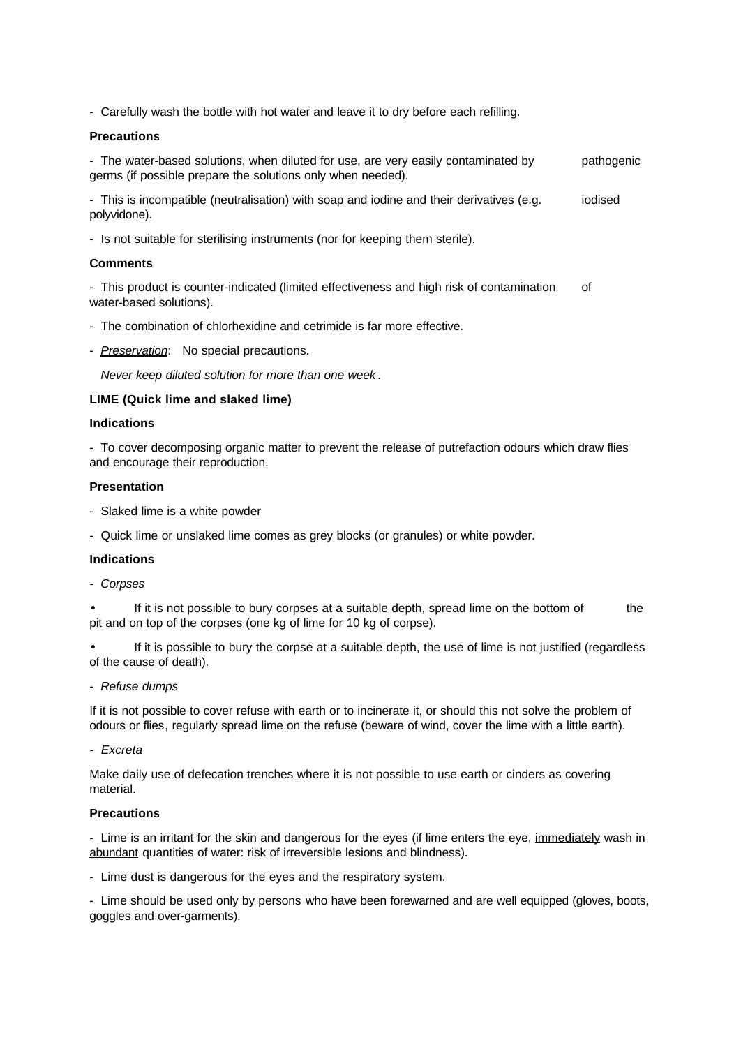- Carefully wash the bottle with hot water and leave it to dry before each refilling.

### **Precautions**

- The water-based solutions, when diluted for use, are very easily contaminated by pathogenic germs (if possible prepare the solutions only when needed).

- This is incompatible (neutralisation) with soap and iodine and their derivatives (e.g. iodised polyvidone).

- Is not suitable for sterilising instruments (nor for keeping them sterile).

### **Comments**

- This product is counter-indicated (limited effectiveness and high risk of contamination of water-based solutions).

- The combination of chlorhexidine and cetrimide is far more effective.
- *Preservation*: No special precautions.

 *Never keep diluted solution for more than one week* .

### **LIME (Quick lime and slaked lime)**

### **Indications**

- To cover decomposing organic matter to prevent the release of putrefaction odours which draw flies and encourage their reproduction.

## **Presentation**

- Slaked lime is a white powder
- Quick lime or unslaked lime comes as grey blocks (or granules) or white powder.

### **Indications**

*- Corpses*

If it is not possible to bury corpses at a suitable depth, spread lime on the bottom of the pit and on top of the corpses (one kg of lime for 10 kg of corpse).

If it is possible to bury the corpse at a suitable depth, the use of lime is not justified (regardless of the cause of death).

- *Refuse dumps*

If it is not possible to cover refuse with earth or to incinerate it, or should this not solve the problem of odours or flies, regularly spread lime on the refuse (beware of wind, cover the lime with a little earth).

*- Excreta*

Make daily use of defecation trenches where it is not possible to use earth or cinders as covering material.

### **Precautions**

- Lime is an irritant for the skin and dangerous for the eyes (if lime enters the eye, immediately wash in abundant quantities of water: risk of irreversible lesions and blindness).

- Lime dust is dangerous for the eyes and the respiratory system.

- Lime should be used only by persons who have been forewarned and are well equipped (gloves, boots, goggles and over-garments).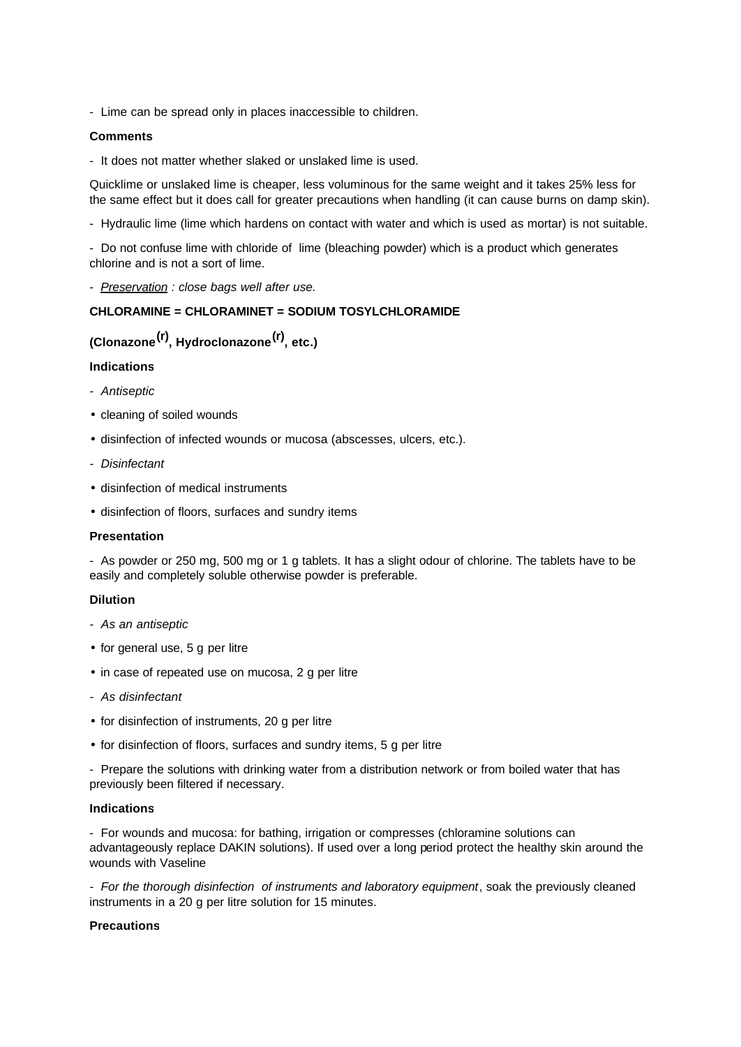- Lime can be spread only in places inaccessible to children.

### **Comments**

- It does not matter whether slaked or unslaked lime is used.

Quicklime or unslaked lime is cheaper, less voluminous for the same weight and it takes 25% less for the same effect but it does call for greater precautions when handling (it can cause burns on damp skin).

- Hydraulic lime (lime which hardens on contact with water and which is used as mortar) is not suitable.

- Do not confuse lime with chloride of lime (bleaching powder) which is a product which generates chlorine and is not a sort of lime.

- *Preservation : close bags well after use.*

## **CHLORAMINE = CHLORAMINET = SODIUM TOSYLCHLORAMIDE**

## **(Clonazone(r), Hydroclonazone(r), etc.)**

### **Indications**

- *Antiseptic*
- cleaning of soiled wounds
- disinfection of infected wounds or mucosa (abscesses, ulcers, etc.).
- *Disinfectant*
- disinfection of medical instruments
- disinfection of floors, surfaces and sundry items

### **Presentation**

- As powder or 250 mg, 500 mg or 1 g tablets. It has a slight odour of chlorine. The tablets have to be easily and completely soluble otherwise powder is preferable.

### **Dilution**

- *As an antiseptic*
- for general use, 5 g per litre
- in case of repeated use on mucosa, 2 g per litre
- *As disinfectant*
- for disinfection of instruments, 20 g per litre
- for disinfection of floors, surfaces and sundry items, 5 g per litre

- Prepare the solutions with drinking water from a distribution network or from boiled water that has previously been filtered if necessary.

### **Indications**

- For wounds and mucosa: for bathing, irrigation or compresses (chloramine solutions can advantageously replace DAKIN solutions). If used over a long period protect the healthy skin around the wounds with Vaseline

*- For the thorough disinfection of instruments and laboratory equipment*, soak the previously cleaned instruments in a 20 g per litre solution for 15 minutes.

### **Precautions**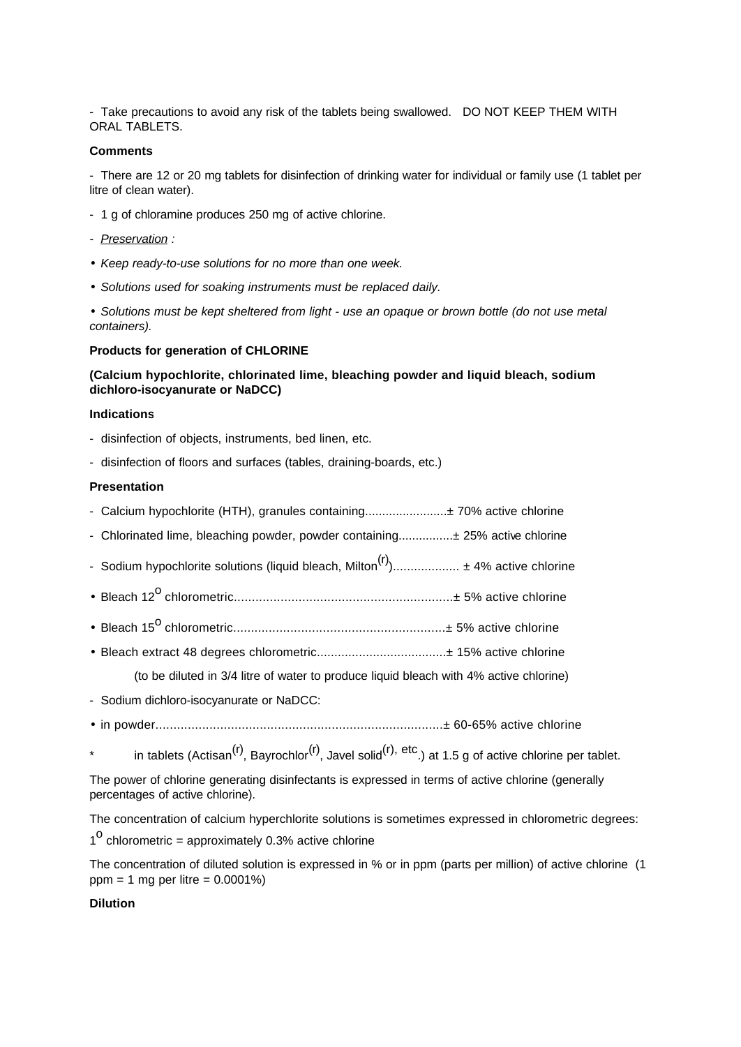- Take precautions to avoid any risk of the tablets being swallowed. DO NOT KEEP THEM WITH ORAL TABLETS.

### **Comments**

- There are 12 or 20 mg tablets for disinfection of drinking water for individual or family use (1 tablet per litre of clean water).

- 1 g of chloramine produces 250 mg of active chlorine.
- *Preservation :*
- *Keep ready-to-use solutions for no more than one week.*
- *Solutions used for soaking instruments must be replaced daily.*

• *Solutions must be kept sheltered from light - use an opaque or brown bottle (do not use metal containers).*

### **Products for generation of CHLORINE**

## **(Calcium hypochlorite, chlorinated lime, bleaching powder and liquid bleach, sodium dichloro-isocyanurate or NaDCC)**

### **Indications**

- disinfection of objects, instruments, bed linen, etc.
- disinfection of floors and surfaces (tables, draining-boards, etc.)

## **Presentation**

- Calcium hypochlorite (HTH), granules containing........................± 70% active chlorine
- Chlorinated lime, bleaching powder, powder containing................± 25% active chlorine
- Sodium hypochlorite solutions (liquid bleach, Milton(r))................... ± 4% active chlorine
- Bleach 12o chlorometric.............................................................± 5% active chlorine
- Bleach 15o chlorometric...........................................................± 5% active chlorine
- Bleach extract 48 degrees chlorometric.....................................± 15% active chlorine

(to be diluted in 3/4 litre of water to produce liquid bleach with 4% active chlorine)

- Sodium dichloro-isocyanurate or NaDCC:
- in powder................................................................................± 60-65% active chlorine
- in tablets (Actisan<sup>(r)</sup>, Bayrochlor<sup>(r)</sup>, Javel solid<sup>(r), etc.)</sup> at 1.5 g of active chlorine per tablet.

The power of chlorine generating disinfectants is expressed in terms of active chlorine (generally percentages of active chlorine).

The concentration of calcium hyperchlorite solutions is sometimes expressed in chlorometric degrees:  $1^{\circ}$  chlorometric = approximately 0.3% active chlorine

The concentration of diluted solution is expressed in % or in ppm (parts per million) of active chlorine (1 ppm = 1 mg per litre = 0.0001%)

### **Dilution**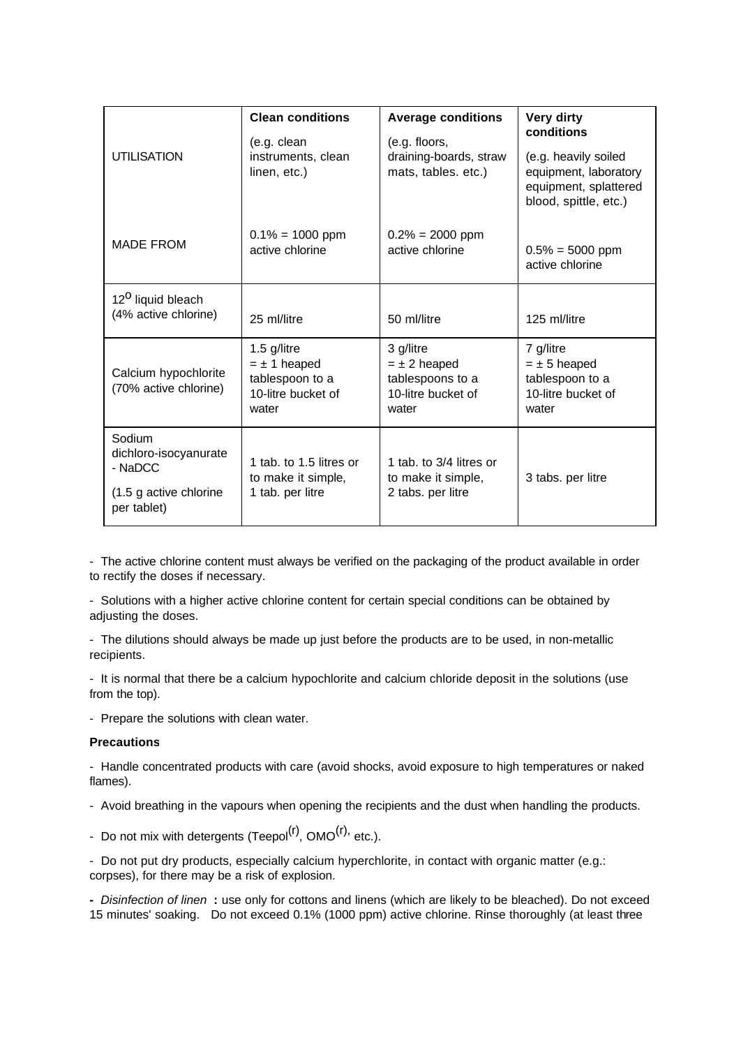| <b>UTILISATION</b>                                                                  | <b>Clean conditions</b><br>(e.g. clean<br>instruments, clean<br>linen, etc.)      | <b>Average conditions</b><br>(e.g. floors,<br>draining-boards, straw<br>mats, tables. etc.) | Very dirty<br>conditions<br>(e.g. heavily soiled<br>equipment, laboratory<br>equipment, splattered<br>blood, spittle, etc.) |
|-------------------------------------------------------------------------------------|-----------------------------------------------------------------------------------|---------------------------------------------------------------------------------------------|-----------------------------------------------------------------------------------------------------------------------------|
| <b>MADE FROM</b>                                                                    | $0.1\% = 1000$ ppm<br>active chlorine                                             | $0.2\% = 2000$ ppm<br>active chlorine                                                       | $0.5\% = 5000$ ppm<br>active chlorine                                                                                       |
| 12 <sup>0</sup> liquid bleach<br>(4% active chlorine)                               | 25 ml/litre                                                                       | 50 ml/litre                                                                                 | 125 ml/litre                                                                                                                |
| Calcium hypochlorite<br>(70% active chlorine)                                       | 1.5 g/litre<br>$= \pm 1$ heaped<br>tablespoon to a<br>10-litre bucket of<br>water | 3 g/litre<br>$= \pm 2$ heaped<br>tablespoons to a<br>10-litre bucket of<br>water            | 7 g/litre<br>$=$ $\pm$ 5 heaped<br>tablespoon to a<br>10-litre bucket of<br>water                                           |
| Sodium<br>dichloro-isocyanurate<br>- NaDCC<br>(1.5 g active chlorine<br>per tablet) | 1 tab. to 1.5 litres or<br>to make it simple,<br>1 tab. per litre                 | 1 tab. to 3/4 litres or<br>to make it simple,<br>2 tabs. per litre                          | 3 tabs. per litre                                                                                                           |

- The active chlorine content must always be verified on the packaging of the product available in order to rectify the doses if necessary.

- Solutions with a higher active chlorine content for certain special conditions can be obtained by adjusting the doses.

- The dilutions should always be made up just before the products are to be used, in non-metallic recipients.

- It is normal that there be a calcium hypochlorite and calcium chloride deposit in the solutions (use from the top).

- Prepare the solutions with clean water.

#### **Precautions**

- Handle concentrated products with care (avoid shocks, avoid exposure to high temperatures or naked flames).

- Avoid breathing in the vapours when opening the recipients and the dust when handling the products.

- Do not mix with detergents (Teepol $^{(r)}$ , OMO $^{(r)}$ , etc.).

- Do not put dry products, especially calcium hyperchlorite, in contact with organic matter (e.g.: corpses), for there may be a risk of explosion.

**-** *Disinfection of linen* **:** use only for cottons and linens (which are likely to be bleached). Do not exceed 15 minutes' soaking. Do not exceed 0.1% (1000 ppm) active chlorine. Rinse thoroughly (at least three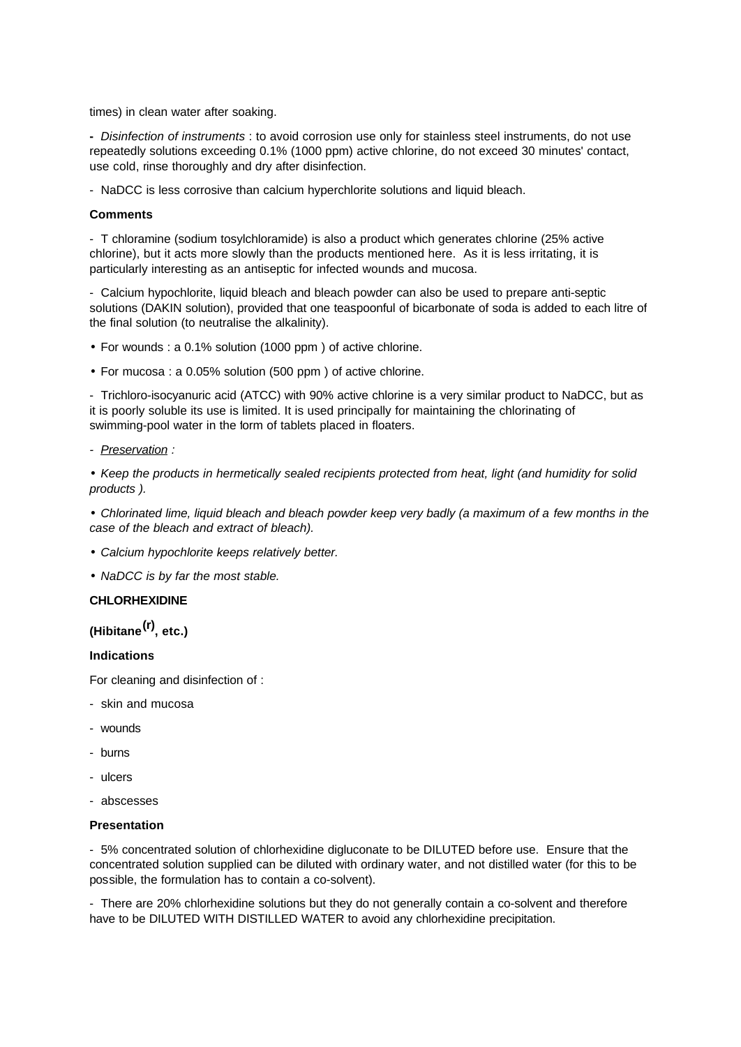times) in clean water after soaking.

**-** *Disinfection of instruments* : to avoid corrosion use only for stainless steel instruments, do not use repeatedly solutions exceeding 0.1% (1000 ppm) active chlorine, do not exceed 30 minutes' contact, use cold, rinse thoroughly and dry after disinfection.

- NaDCC is less corrosive than calcium hyperchlorite solutions and liquid bleach.

### **Comments**

- T chloramine (sodium tosylchloramide) is also a product which generates chlorine (25% active chlorine), but it acts more slowly than the products mentioned here. As it is less irritating, it is particularly interesting as an antiseptic for infected wounds and mucosa.

- Calcium hypochlorite, liquid bleach and bleach powder can also be used to prepare anti-septic solutions (DAKIN solution), provided that one teaspoonful of bicarbonate of soda is added to each litre of the final solution (to neutralise the alkalinity).

- For wounds : a 0.1% solution (1000 ppm ) of active chlorine.
- For mucosa : a 0.05% solution (500 ppm ) of active chlorine.

- Trichloro-isocyanuric acid (ATCC) with 90% active chlorine is a very similar product to NaDCC, but as it is poorly soluble its use is limited. It is used principally for maintaining the chlorinating of swimming-pool water in the form of tablets placed in floaters.

*- Preservation :*

• *Keep the products in hermetically sealed recipients protected from heat, light (and humidity for solid products ).*

• *Chlorinated lime, liquid bleach and bleach powder keep very badly (a maximum of a few months in the case of the bleach and extract of bleach).*

- *Calcium hypochlorite keeps relatively better.*
- *NaDCC is by far the most stable.*

### **CHLORHEXIDINE**

# **(Hibitane(r), etc.)**

### **Indications**

For cleaning and disinfection of :

- skin and mucosa
- wounds
- burns
- ulcers
- abscesses

### **Presentation**

- 5% concentrated solution of chlorhexidine digluconate to be DILUTED before use. Ensure that the concentrated solution supplied can be diluted with ordinary water, and not distilled water (for this to be possible, the formulation has to contain a co-solvent).

- There are 20% chlorhexidine solutions but they do not generally contain a co-solvent and therefore have to be DILUTED WITH DISTILLED WATER to avoid any chlorhexidine precipitation.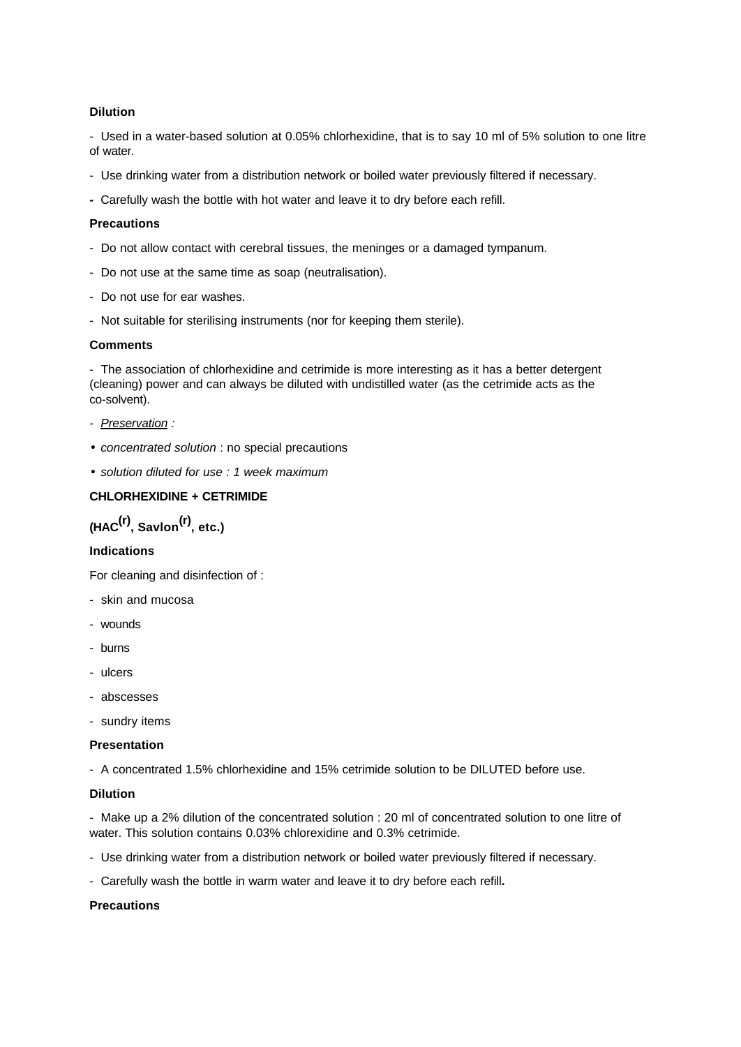## **Dilution**

- Used in a water-based solution at 0.05% chlorhexidine, that is to say 10 ml of 5% solution to one litre of water.

- Use drinking water from a distribution network or boiled water previously filtered if necessary.
- Carefully wash the bottle with hot water and leave it to dry before each refill.

## **Precautions**

- Do not allow contact with cerebral tissues, the meninges or a damaged tympanum.
- Do not use at the same time as soap (neutralisation).
- Do not use for ear washes.
- Not suitable for sterilising instruments (nor for keeping them sterile).

### **Comments**

- The association of chlorhexidine and cetrimide is more interesting as it has a better detergent (cleaning) power and can always be diluted with undistilled water (as the cetrimide acts as the co-solvent).

- *Preservation :*
- *concentrated solution* : no special precautions
- *solution diluted for use : 1 week maximum*

## **CHLORHEXIDINE + CETRIMIDE**

# **(HAC(r), Savlon(r), etc.)**

### **Indications**

For cleaning and disinfection of :

- skin and mucosa
- wounds
- burns
- ulcers
- abscesses
- sundry items

#### **Presentation**

- A concentrated 1.5% chlorhexidine and 15% cetrimide solution to be DILUTED before use.

### **Dilution**

- Make up a 2% dilution of the concentrated solution : 20 ml of concentrated solution to one litre of water. This solution contains 0.03% chlorexidine and 0.3% cetrimide.

- Use drinking water from a distribution network or boiled water previously filtered if necessary.

- Carefully wash the bottle in warm water and leave it to dry before each refill**.**

### **Precautions**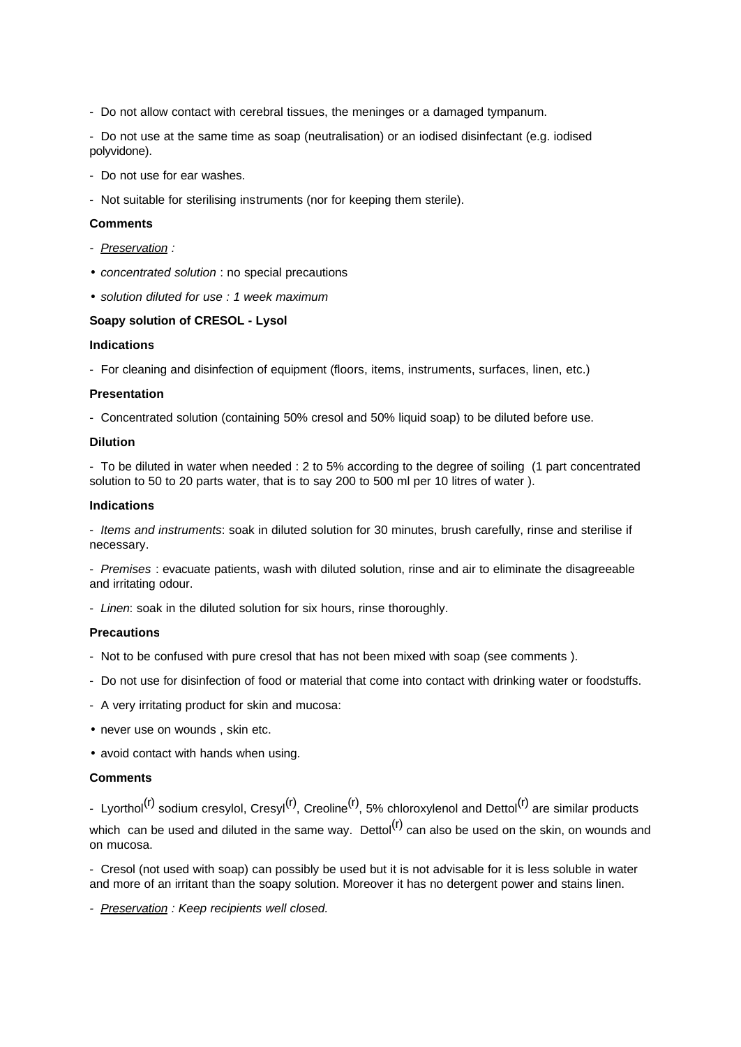- Do not allow contact with cerebral tissues, the meninges or a damaged tympanum.

- Do not use at the same time as soap (neutralisation) or an iodised disinfectant (e.g. iodised polyvidone).

- Do not use for ear washes.
- Not suitable for sterilising instruments (nor for keeping them sterile).

## **Comments**

- *Preservation :*
- *concentrated solution* : no special precautions
- *solution diluted for use : 1 week maximum*

## **Soapy solution of CRESOL - Lysol**

### **Indications**

- For cleaning and disinfection of equipment (floors, items, instruments, surfaces, linen, etc.)

### **Presentation**

- Concentrated solution (containing 50% cresol and 50% liquid soap) to be diluted before use.

### **Dilution**

- To be diluted in water when needed : 2 to 5% according to the degree of soiling (1 part concentrated solution to 50 to 20 parts water, that is to say 200 to 500 ml per 10 litres of water ).

### **Indications**

- *Items and instruments*: soak in diluted solution for 30 minutes, brush carefully, rinse and sterilise if necessary.

- *Premises* : evacuate patients, wash with diluted solution, rinse and air to eliminate the disagreeable and irritating odour.

- *Linen*: soak in the diluted solution for six hours, rinse thoroughly.

### **Precautions**

- Not to be confused with pure cresol that has not been mixed with soap (see comments ).
- Do not use for disinfection of food or material that come into contact with drinking water or foodstuffs.
- A very irritating product for skin and mucosa:
- never use on wounds , skin etc.
- avoid contact with hands when using.

### **Comments**

- Lyorthol<sup>(r)</sup> sodium cresylol, Cresyl<sup>(r)</sup>, Creoline<sup>(r)</sup>, 5% chloroxylenol and Dettol<sup>(r)</sup> are similar products which can be used and diluted in the same way. Dettol<sup>(r)</sup> can also be used on the skin, on wounds and on mucosa.

- Cresol (not used with soap) can possibly be used but it is not advisable for it is less soluble in water and more of an irritant than the soapy solution. Moreover it has no detergent power and stains linen.

*- Preservation : Keep recipients well closed.*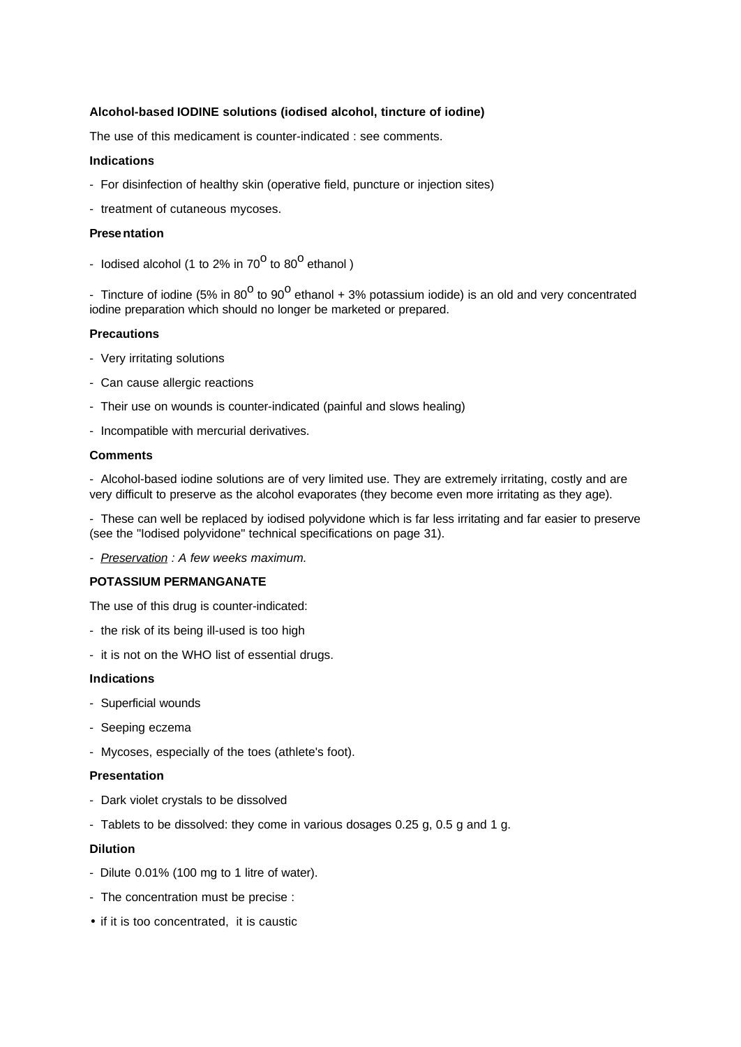## **Alcohol-based IODINE solutions (iodised alcohol, tincture of iodine)**

The use of this medicament is counter-indicated : see comments.

### **Indications**

- For disinfection of healthy skin (operative field, puncture or injection sites)
- treatment of cutaneous mycoses.

#### **Presentation**

- lodised alcohol (1 to 2% in 70<sup>0</sup> to 80<sup>0</sup> ethanol)

- Tincture of iodine (5% in 80<sup>0</sup> to 90<sup>0</sup> ethanol + 3% potassium iodide) is an old and very concentrated iodine preparation which should no longer be marketed or prepared.

#### **Precautions**

- Very irritating solutions
- Can cause allergic reactions
- Their use on wounds is counter-indicated (painful and slows healing)
- Incompatible with mercurial derivatives.

### **Comments**

- Alcohol-based iodine solutions are of very limited use. They are extremely irritating, costly and are very difficult to preserve as the alcohol evaporates (they become even more irritating as they age).

- These can well be replaced by iodised polyvidone which is far less irritating and far easier to preserve (see the "Iodised polyvidone" technical specifications on page 31).

*- Preservation : A few weeks maximum.* 

### **POTASSIUM PERMANGANATE**

The use of this drug is counter-indicated:

- the risk of its being ill-used is too high
- it is not on the WHO list of essential drugs.

### **Indications**

- Superficial wounds
- Seeping eczema
- Mycoses, especially of the toes (athlete's foot).

### **Presentation**

- Dark violet crystals to be dissolved
- Tablets to be dissolved: they come in various dosages 0.25 g, 0.5 g and 1 g.

#### **Dilution**

- Dilute 0.01% (100 mg to 1 litre of water).
- The concentration must be precise :
- if it is too concentrated, it is caustic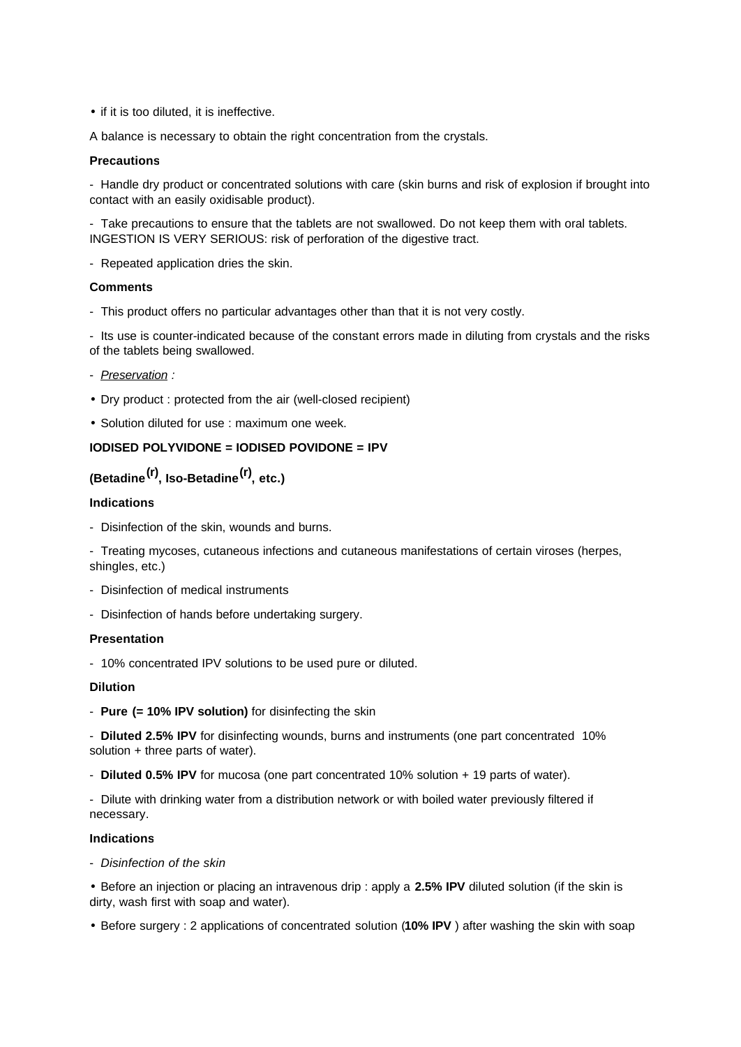• if it is too diluted, it is ineffective.

A balance is necessary to obtain the right concentration from the crystals.

### **Precautions**

- Handle dry product or concentrated solutions with care (skin burns and risk of explosion if brought into contact with an easily oxidisable product).

- Take precautions to ensure that the tablets are not swallowed. Do not keep them with oral tablets. INGESTION IS VERY SERIOUS: risk of perforation of the digestive tract.

- Repeated application dries the skin.

### **Comments**

- This product offers no particular advantages other than that it is not very costly.

- Its use is counter-indicated because of the constant errors made in diluting from crystals and the risks of the tablets being swallowed.

- *Preservation :*
- Dry product : protected from the air (well-closed recipient)
- Solution diluted for use : maximum one week.

## **IODISED POLYVIDONE = IODISED POVIDONE = IPV**

## **(Betadine(r), Iso-Betadine(r), etc.)**

### **Indications**

- Disinfection of the skin, wounds and burns.
- Treating mycoses, cutaneous infections and cutaneous manifestations of certain viroses (herpes, shingles, etc.)
- Disinfection of medical instruments
- Disinfection of hands before undertaking surgery.

### **Presentation**

- 10% concentrated IPV solutions to be used pure or diluted.

### **Dilution**

- **Pure (= 10% IPV solution)** for disinfecting the skin

- **Diluted 2.5% IPV** for disinfecting wounds, burns and instruments (one part concentrated 10% solution + three parts of water).

- **Diluted 0.5% IPV** for mucosa (one part concentrated 10% solution + 19 parts of water).

- Dilute with drinking water from a distribution network or with boiled water previously filtered if necessary.

### **Indications**

- *Disinfection of the skin*

• Before an injection or placing an intravenous drip : apply a **2.5% IPV** diluted solution (if the skin is dirty, wash first with soap and water).

• Before surgery : 2 applications of concentrated solution (**10% IPV** ) after washing the skin with soap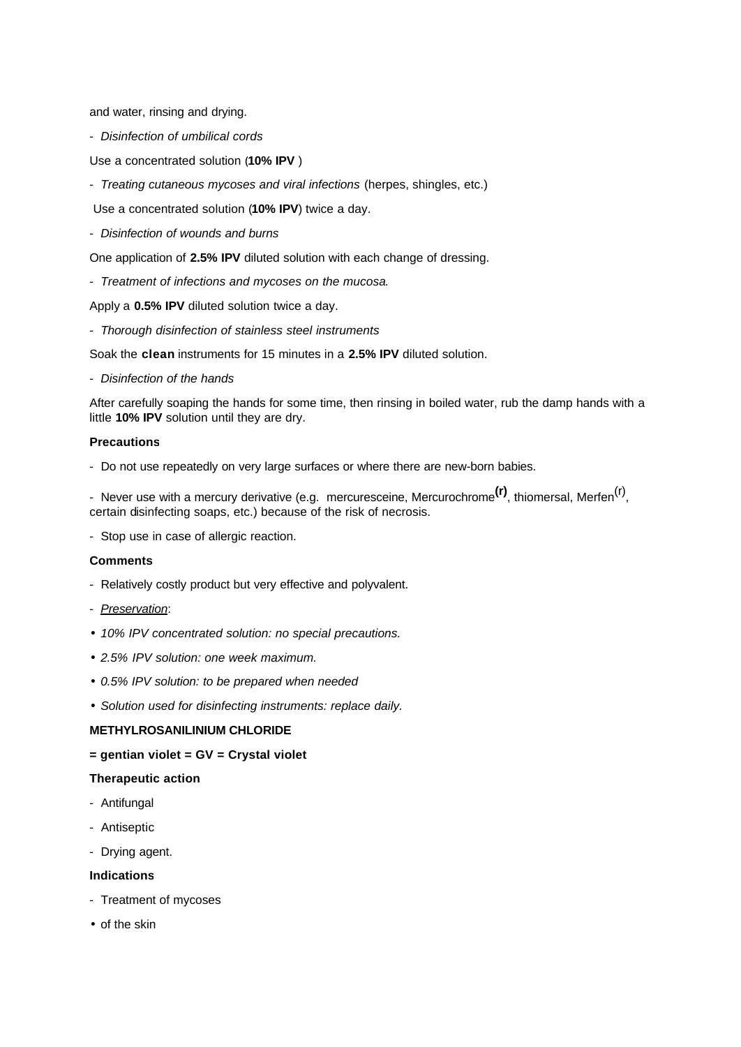and water, rinsing and drying.

- *Disinfection of umbilical cords*
- Use a concentrated solution (**10% IPV** )
- *Treating cutaneous mycoses and viral infections* (herpes, shingles, etc.)
- Use a concentrated solution (**10% IPV**) twice a day.
- *Disinfection of wounds and burns*

One application of **2.5% IPV** diluted solution with each change of dressing.

- *Treatment of infections and mycoses on the mucosa*.

Apply a **0.5% IPV** diluted solution twice a day.

- *Thorough disinfection of stainless steel instruments*

Soak the **clean** instruments for 15 minutes in a **2.5% IPV** diluted solution.

- *Disinfection of the hands*

After carefully soaping the hands for some time, then rinsing in boiled water, rub the damp hands with a little **10% IPV** solution until they are dry.

### **Precautions**

- Do not use repeatedly on very large surfaces or where there are new-born babies.

- Never use with a mercury derivative (e.g. mercuresceine, Mercurochrome<sup>(r)</sup>, thiomersal, Merfen<sup>(r)</sup>, certain disinfecting soaps, etc.) because of the risk of necrosis.

- Stop use in case of allergic reaction.

### **Comments**

- Relatively costly product but very effective and polyvalent.
- *Preservation*:
- *10% IPV concentrated solution: no special precautions.*
- *2.5% IPV solution: one week maximum.*
- *0.5% IPV solution: to be prepared when needed*
- *Solution used for disinfecting instruments: replace daily.*

### **METHYLROSANILINIUM CHLORIDE**

**= gentian violet = GV = Crystal violet**

### **Therapeutic action**

- Antifungal
- Antiseptic
- Drying agent.

### **Indications**

- Treatment of mycoses
- of the skin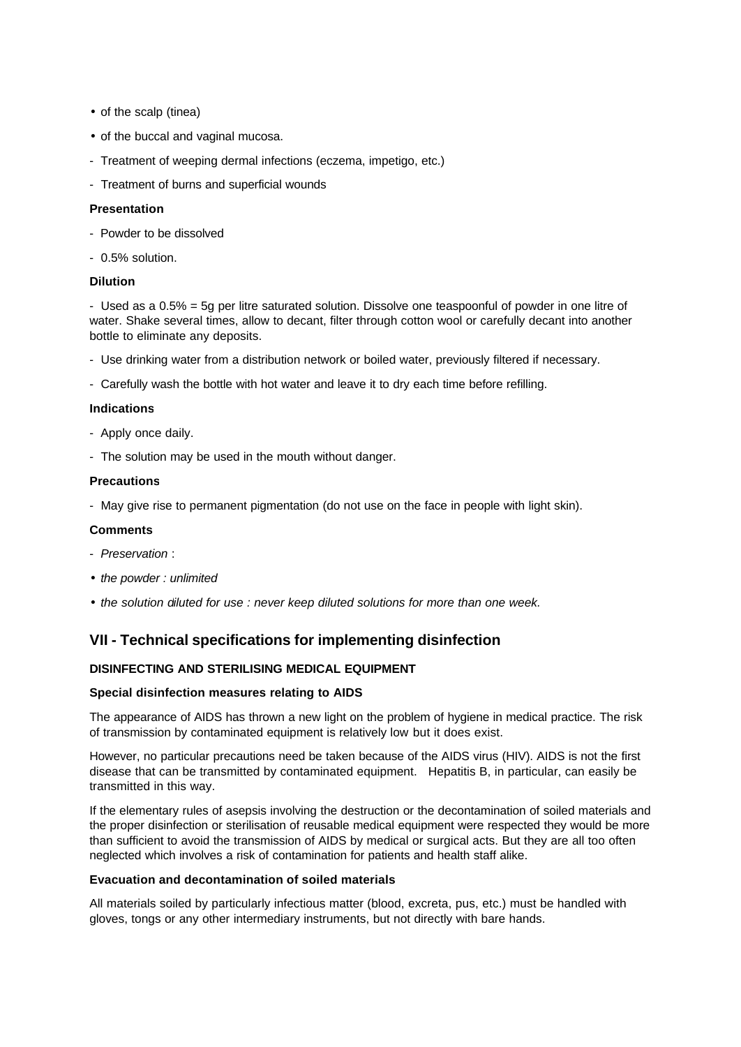- of the scalp (tinea)
- of the buccal and vaginal mucosa.
- Treatment of weeping dermal infections (eczema, impetigo, etc.)
- Treatment of burns and superficial wounds

## **Presentation**

- Powder to be dissolved
- 0.5% solution.

### **Dilution**

- Used as a 0.5% = 5g per litre saturated solution. Dissolve one teaspoonful of powder in one litre of water. Shake several times, allow to decant, filter through cotton wool or carefully decant into another bottle to eliminate any deposits.

- Use drinking water from a distribution network or boiled water, previously filtered if necessary.
- Carefully wash the bottle with hot water and leave it to dry each time before refilling.

### **Indications**

- Apply once daily.
- The solution may be used in the mouth without danger.

### **Precautions**

- May give rise to permanent pigmentation (do not use on the face in people with light skin).

## **Comments**

- *Preservation* :
- *the powder : unlimited*
- *the solution diluted for use : never keep diluted solutions for more than one week.*

## **VII - Technical specifications for implementing disinfection**

## **DISINFECTING AND STERILISING MEDICAL EQUIPMENT**

### **Special disinfection measures relating to AIDS**

The appearance of AIDS has thrown a new light on the problem of hygiene in medical practice. The risk of transmission by contaminated equipment is relatively low but it does exist.

However, no particular precautions need be taken because of the AIDS virus (HIV). AIDS is not the first disease that can be transmitted by contaminated equipment. Hepatitis B, in particular, can easily be transmitted in this way.

If the elementary rules of asepsis involving the destruction or the decontamination of soiled materials and the proper disinfection or sterilisation of reusable medical equipment were respected they would be more than sufficient to avoid the transmission of AIDS by medical or surgical acts. But they are all too often neglected which involves a risk of contamination for patients and health staff alike.

### **Evacuation and decontamination of soiled materials**

All materials soiled by particularly infectious matter (blood, excreta, pus, etc.) must be handled with gloves, tongs or any other intermediary instruments, but not directly with bare hands.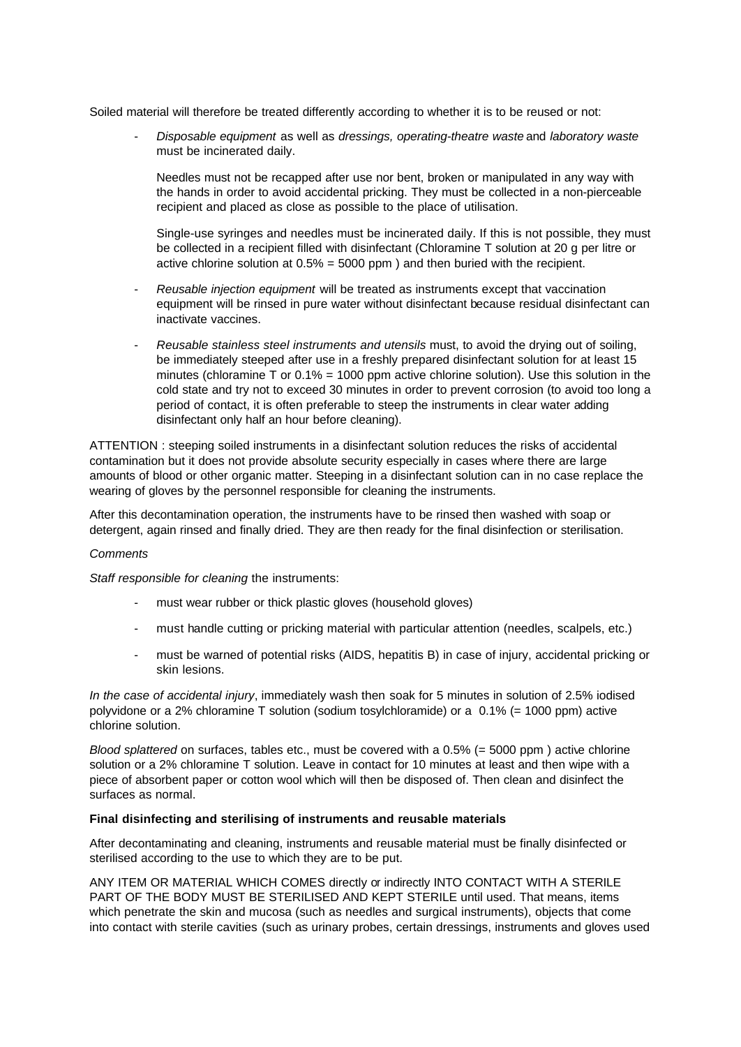Soiled material will therefore be treated differently according to whether it is to be reused or not:

- *Disposable equipment* as well as *dressings, operating-theatre waste* and *laboratory waste* must be incinerated daily.

 Needles must not be recapped after use nor bent, broken or manipulated in any way with the hands in order to avoid accidental pricking. They must be collected in a non-pierceable recipient and placed as close as possible to the place of utilisation.

 Single-use syringes and needles must be incinerated daily. If this is not possible, they must be collected in a recipient filled with disinfectant (Chloramine T solution at 20 g per litre or active chlorine solution at 0.5% = 5000 ppm ) and then buried with the recipient.

- *Reusable injection equipment* will be treated as instruments except that vaccination equipment will be rinsed in pure water without disinfectant because residual disinfectant can inactivate vaccines.
- *Reusable stainless steel instruments and utensils* must, to avoid the drying out of soiling, be immediately steeped after use in a freshly prepared disinfectant solution for at least 15 minutes (chloramine T or  $0.1% = 1000$  ppm active chlorine solution). Use this solution in the cold state and try not to exceed 30 minutes in order to prevent corrosion (to avoid too long a period of contact, it is often preferable to steep the instruments in clear water adding disinfectant only half an hour before cleaning).

ATTENTION : steeping soiled instruments in a disinfectant solution reduces the risks of accidental contamination but it does not provide absolute security especially in cases where there are large amounts of blood or other organic matter. Steeping in a disinfectant solution can in no case replace the wearing of gloves by the personnel responsible for cleaning the instruments.

After this decontamination operation, the instruments have to be rinsed then washed with soap or detergent, again rinsed and finally dried. They are then ready for the final disinfection or sterilisation.

### *Comments*

*Staff responsible for cleaning* the instruments:

- must wear rubber or thick plastic gloves (household gloves)
- must handle cutting or pricking material with particular attention (needles, scalpels, etc.)
- must be warned of potential risks (AIDS, hepatitis B) in case of injury, accidental pricking or skin lesions.

*In the case of accidental injury*, immediately wash then soak for 5 minutes in solution of 2.5% iodised polyvidone or a 2% chloramine T solution (sodium tosylchloramide) or a 0.1% (= 1000 ppm) active chlorine solution.

*Blood splattered* on surfaces, tables etc., must be covered with a 0.5% (= 5000 ppm ) active chlorine solution or a 2% chloramine T solution. Leave in contact for 10 minutes at least and then wipe with a piece of absorbent paper or cotton wool which will then be disposed of. Then clean and disinfect the surfaces as normal.

## **Final disinfecting and sterilising of instruments and reusable materials**

After decontaminating and cleaning, instruments and reusable material must be finally disinfected or sterilised according to the use to which they are to be put.

ANY ITEM OR MATERIAL WHICH COMES directly or indirectly INTO CONTACT WITH A STERILE PART OF THE BODY MUST BE STERILISED AND KEPT STERILE until used. That means, items which penetrate the skin and mucosa (such as needles and surgical instruments), objects that come into contact with sterile cavities (such as urinary probes, certain dressings, instruments and gloves used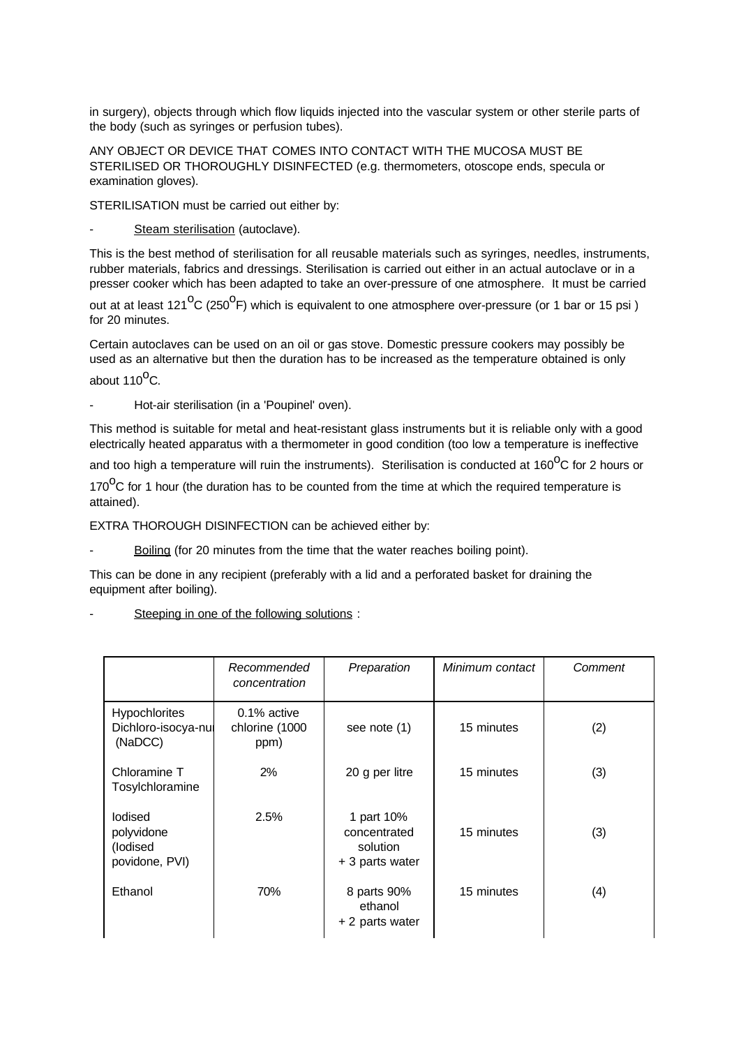in surgery), objects through which flow liquids injected into the vascular system or other sterile parts of the body (such as syringes or perfusion tubes).

ANY OBJECT OR DEVICE THAT COMES INTO CONTACT WITH THE MUCOSA MUST BE STERILISED OR THOROUGHLY DISINFECTED (e.g. thermometers, otoscope ends, specula or examination gloves).

STERILISATION must be carried out either by:

Steam sterilisation (autoclave).

This is the best method of sterilisation for all reusable materials such as syringes, needles, instruments, rubber materials, fabrics and dressings. Sterilisation is carried out either in an actual autoclave or in a presser cooker which has been adapted to take an over-pressure of one atmosphere. It must be carried

out at at least 121<sup>O</sup>C (250<sup>O</sup>F) which is equivalent to one atmosphere over-pressure (or 1 bar or 15 psi ) for 20 minutes.

Certain autoclaves can be used on an oil or gas stove. Domestic pressure cookers may possibly be used as an alternative but then the duration has to be increased as the temperature obtained is only about  $110^{\circ}$ C.

- Hot-air sterilisation (in a 'Poupinel' oven).

This method is suitable for metal and heat-resistant glass instruments but it is reliable only with a good electrically heated apparatus with a thermometer in good condition (too low a temperature is ineffective

and too high a temperature will ruin the instruments). Sterilisation is conducted at 160 $^{0}$ C for 2 hours or

170 $\mathrm{^{0}C}$  for 1 hour (the duration has to be counted from the time at which the required temperature is attained).

EXTRA THOROUGH DISINFECTION can be achieved either by:

Boiling (for 20 minutes from the time that the water reaches boiling point).

This can be done in any recipient (preferably with a lid and a perforated basket for draining the equipment after boiling).

Steeping in one of the following solutions :

|                                                        | Recommended<br>concentration             | Preparation                                               | Minimum contact | Comment |
|--------------------------------------------------------|------------------------------------------|-----------------------------------------------------------|-----------------|---------|
| <b>Hypochlorites</b><br>Dichloro-isocya-nul<br>(NaDCC) | $0.1\%$ active<br>chlorine (1000<br>ppm) | see note (1)                                              | 15 minutes      | (2)     |
| Chloramine T<br>Tosylchloramine                        | 2%                                       | 20 g per litre                                            | 15 minutes      | (3)     |
| lodised<br>polyvidone<br>(lodised<br>povidone, PVI)    | 2.5%                                     | 1 part 10%<br>concentrated<br>solution<br>+ 3 parts water | 15 minutes      | (3)     |
| Ethanol                                                | 70%                                      | 8 parts 90%<br>ethanol<br>+ 2 parts water                 | 15 minutes      | (4)     |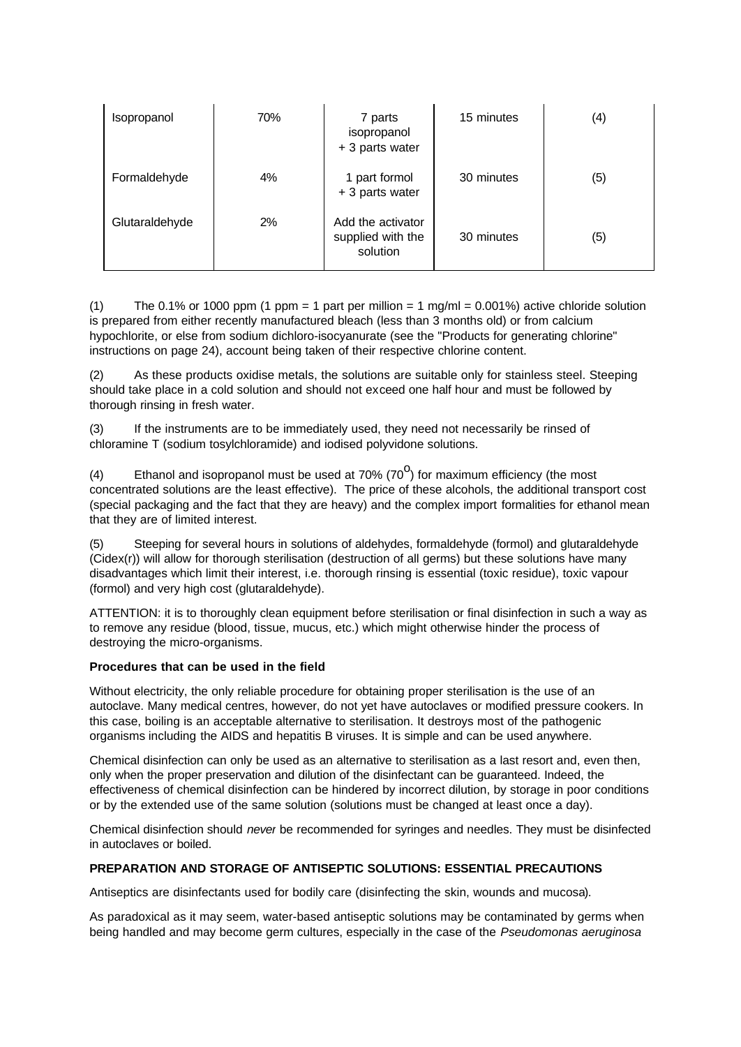| Isopropanol    | 70% | 7 parts<br>isopropanol<br>+ 3 parts water          | 15 minutes | $\left( 4\right)$ |
|----------------|-----|----------------------------------------------------|------------|-------------------|
| Formaldehyde   | 4%  | 1 part formol<br>+ 3 parts water                   | 30 minutes | (5)               |
| Glutaraldehyde | 2%  | Add the activator<br>supplied with the<br>solution | 30 minutes | (5)               |

(1) The 0.1% or 1000 ppm (1 ppm = 1 part per million = 1 mg/ml =  $0.001\%$ ) active chloride solution is prepared from either recently manufactured bleach (less than 3 months old) or from calcium hypochlorite, or else from sodium dichloro-isocyanurate (see the "Products for generating chlorine" instructions on page 24), account being taken of their respective chlorine content.

(2) As these products oxidise metals, the solutions are suitable only for stainless steel. Steeping should take place in a cold solution and should not exceed one half hour and must be followed by thorough rinsing in fresh water.

(3) If the instruments are to be immediately used, they need not necessarily be rinsed of chloramine T (sodium tosylchloramide) and iodised polyvidone solutions.

(4) Ethanol and isopropanol must be used at 70% (70<sup>0</sup>) for maximum efficiency (the most concentrated solutions are the least effective). The price of these alcohols, the additional transport cost (special packaging and the fact that they are heavy) and the complex import formalities for ethanol mean that they are of limited interest.

(5) Steeping for several hours in solutions of aldehydes, formaldehyde (formol) and glutaraldehyde (Cidex(r)) will allow for thorough sterilisation (destruction of all germs) but these solutions have many disadvantages which limit their interest, i.e. thorough rinsing is essential (toxic residue), toxic vapour (formol) and very high cost (glutaraldehyde).

ATTENTION: it is to thoroughly clean equipment before sterilisation or final disinfection in such a way as to remove any residue (blood, tissue, mucus, etc.) which might otherwise hinder the process of destroying the micro-organisms.

### **Procedures that can be used in the field**

Without electricity, the only reliable procedure for obtaining proper sterilisation is the use of an autoclave. Many medical centres, however, do not yet have autoclaves or modified pressure cookers. In this case, boiling is an acceptable alternative to sterilisation. It destroys most of the pathogenic organisms including the AIDS and hepatitis B viruses. It is simple and can be used anywhere.

Chemical disinfection can only be used as an alternative to sterilisation as a last resort and, even then, only when the proper preservation and dilution of the disinfectant can be guaranteed. Indeed, the effectiveness of chemical disinfection can be hindered by incorrect dilution, by storage in poor conditions or by the extended use of the same solution (solutions must be changed at least once a day).

Chemical disinfection should *never* be recommended for syringes and needles. They must be disinfected in autoclaves or boiled.

## **PREPARATION AND STORAGE OF ANTISEPTIC SOLUTIONS: ESSENTIAL PRECAUTIONS**

Antiseptics are disinfectants used for bodily care (disinfecting the skin, wounds and mucosa).

As paradoxical as it may seem, water-based antiseptic solutions may be contaminated by germs when being handled and may become germ cultures, especially in the case of the *Pseudomonas aeruginosa*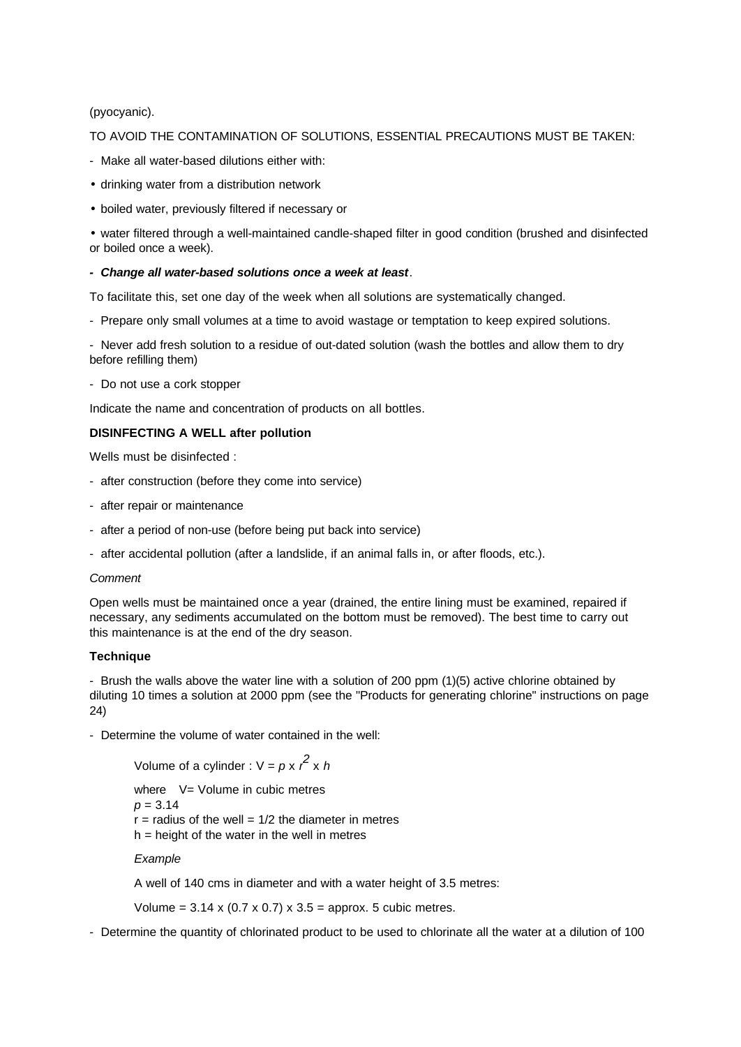## (pyocyanic).

### TO AVOID THE CONTAMINATION OF SOLUTIONS, ESSENTIAL PRECAUTIONS MUST BE TAKEN:

- Make all water-based dilutions either with:
- drinking water from a distribution network
- boiled water, previously filtered if necessary or

• water filtered through a well-maintained candle-shaped filter in good condition (brushed and disinfected or boiled once a week).

## *- Change all water-based solutions once a week at least*.

To facilitate this, set one day of the week when all solutions are systematically changed.

- Prepare only small volumes at a time to avoid wastage or temptation to keep expired solutions.

- Never add fresh solution to a residue of out-dated solution (wash the bottles and allow them to dry before refilling them)

- Do not use a cork stopper

Indicate the name and concentration of products on all bottles.

## **DISINFECTING A WELL after pollution**

Wells must be disinfected :

- after construction (before they come into service)
- after repair or maintenance
- after a period of non-use (before being put back into service)
- after accidental pollution (after a landslide, if an animal falls in, or after floods, etc.).

### *Comment*

Open wells must be maintained once a year (drained, the entire lining must be examined, repaired if necessary, any sediments accumulated on the bottom must be removed). The best time to carry out this maintenance is at the end of the dry season.

### **Technique**

- Brush the walls above the water line with a solution of 200 ppm (1)(5) active chlorine obtained by diluting 10 times a solution at 2000 ppm (see the "Products for generating chlorine" instructions on page 24)

- Determine the volume of water contained in the well:

Volume of a cylinder :  $V = p x r^2 x h$ where  $V = Volume$  in cubic metres *p* = 3.14  $r =$  radius of the well =  $1/2$  the diameter in metres  $h =$  height of the water in the well in metres

*Example*

A well of 140 cms in diameter and with a water height of 3.5 metres:

Volume =  $3.14 \times (0.7 \times 0.7) \times 3.5$  = approx. 5 cubic metres.

- Determine the quantity of chlorinated product to be used to chlorinate all the water at a dilution of 100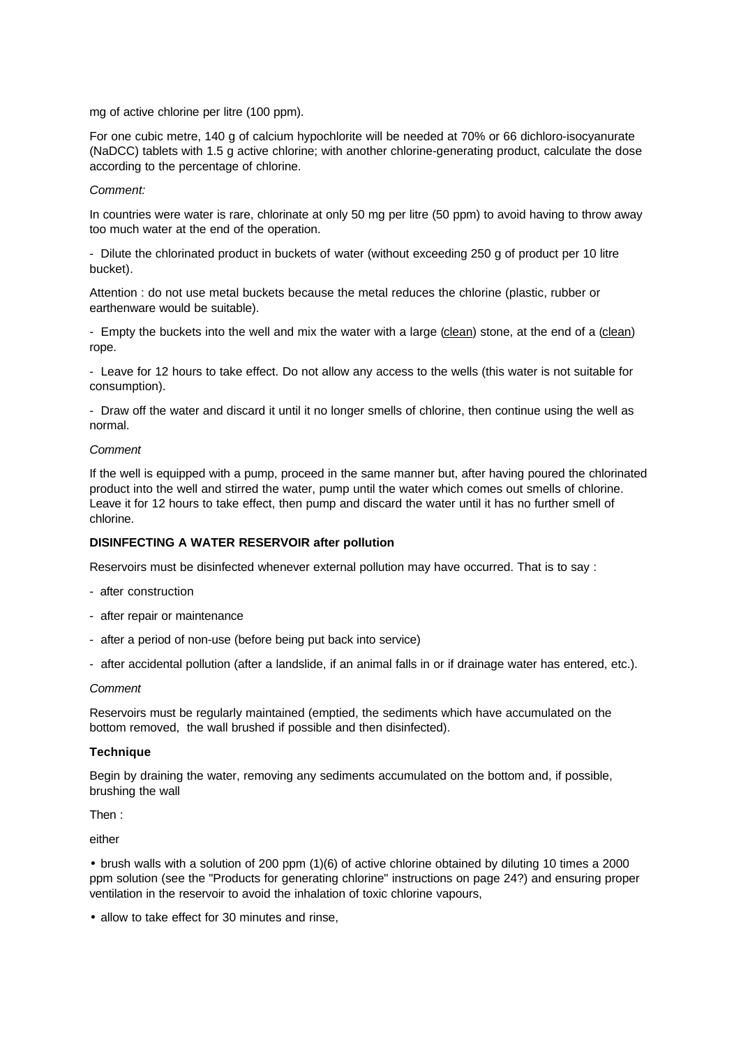mg of active chlorine per litre (100 ppm).

For one cubic metre, 140 g of calcium hypochlorite will be needed at 70% or 66 dichloro-isocyanurate (NaDCC) tablets with 1.5 g active chlorine; with another chlorine-generating product, calculate the dose according to the percentage of chlorine.

### *Comment:*

In countries were water is rare, chlorinate at only 50 mg per litre (50 ppm) to avoid having to throw away too much water at the end of the operation.

- Dilute the chlorinated product in buckets of water (without exceeding 250 g of product per 10 litre bucket).

Attention : do not use metal buckets because the metal reduces the chlorine (plastic, rubber or earthenware would be suitable).

- Empty the buckets into the well and mix the water with a large (clean) stone, at the end of a (clean) rope.

- Leave for 12 hours to take effect. Do not allow any access to the wells (this water is not suitable for consumption).

- Draw off the water and discard it until it no longer smells of chlorine, then continue using the well as normal.

### *Comment*

If the well is equipped with a pump, proceed in the same manner but, after having poured the chlorinated product into the well and stirred the water, pump until the water which comes out smells of chlorine. Leave it for 12 hours to take effect, then pump and discard the water until it has no further smell of chlorine.

## **DISINFECTING A WATER RESERVOIR after pollution**

Reservoirs must be disinfected whenever external pollution may have occurred. That is to say :

- after construction
- after repair or maintenance
- after a period of non-use (before being put back into service)
- after accidental pollution (after a landslide, if an animal falls in or if drainage water has entered, etc.).

### *Comment*

Reservoirs must be regularly maintained (emptied, the sediments which have accumulated on the bottom removed, the wall brushed if possible and then disinfected).

### **Technique**

Begin by draining the water, removing any sediments accumulated on the bottom and, if possible, brushing the wall

Then :

either

• brush walls with a solution of 200 ppm (1)(6) of active chlorine obtained by diluting 10 times a 2000 ppm solution (see the "Products for generating chlorine" instructions on page 24?) and ensuring proper ventilation in the reservoir to avoid the inhalation of toxic chlorine vapours,

• allow to take effect for 30 minutes and rinse,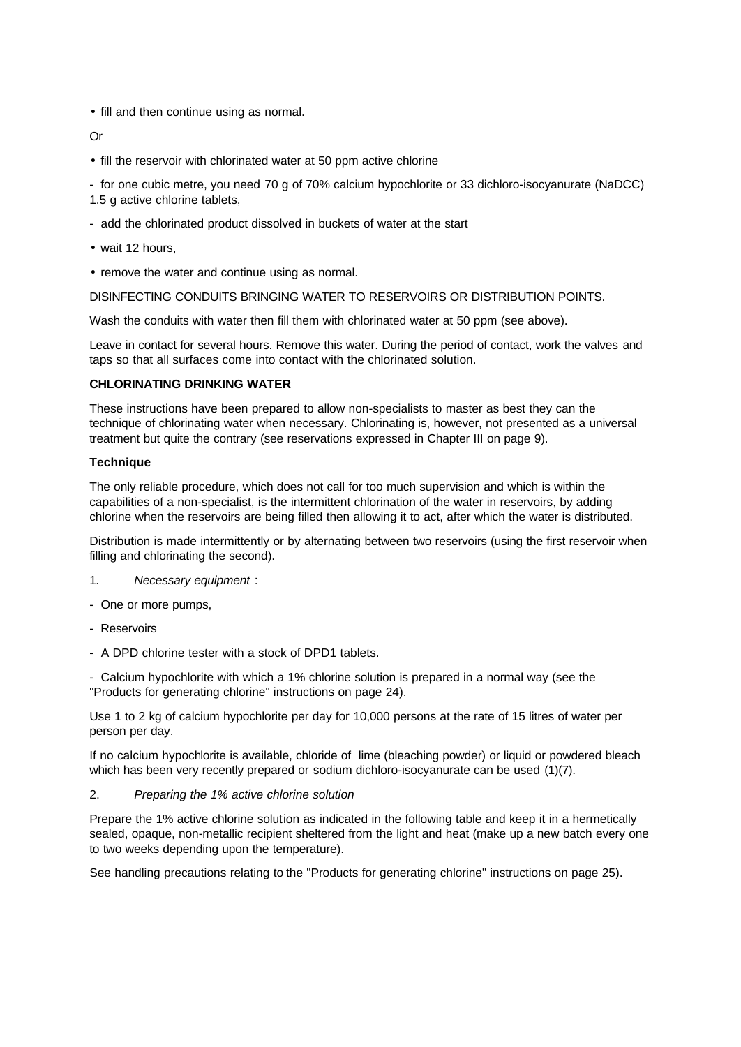• fill and then continue using as normal.

### Or

- fill the reservoir with chlorinated water at 50 ppm active chlorine
- for one cubic metre, you need 70 g of 70% calcium hypochlorite or 33 dichloro-isocyanurate (NaDCC)
- 1.5 g active chlorine tablets,
- add the chlorinated product dissolved in buckets of water at the start
- wait 12 hours,
- remove the water and continue using as normal.

DISINFECTING CONDUITS BRINGING WATER TO RESERVOIRS OR DISTRIBUTION POINTS.

Wash the conduits with water then fill them with chlorinated water at 50 ppm (see above).

Leave in contact for several hours. Remove this water. During the period of contact, work the valves and taps so that all surfaces come into contact with the chlorinated solution.

## **CHLORINATING DRINKING WATER**

These instructions have been prepared to allow non-specialists to master as best they can the technique of chlorinating water when necessary. Chlorinating is, however, not presented as a universal treatment but quite the contrary (see reservations expressed in Chapter III on page 9).

## **Technique**

The only reliable procedure, which does not call for too much supervision and which is within the capabilities of a non-specialist, is the intermittent chlorination of the water in reservoirs, by adding chlorine when the reservoirs are being filled then allowing it to act, after which the water is distributed.

Distribution is made intermittently or by alternating between two reservoirs (using the first reservoir when filling and chlorinating the second).

- 1. *Necessary equipment* :
- One or more pumps,
- Reservoirs
- A DPD chlorine tester with a stock of DPD1 tablets.

- Calcium hypochlorite with which a 1% chlorine solution is prepared in a normal way (see the "Products for generating chlorine" instructions on page 24).

Use 1 to 2 kg of calcium hypochlorite per day for 10,000 persons at the rate of 15 litres of water per person per day.

If no calcium hypochlorite is available, chloride of lime (bleaching powder) or liquid or powdered bleach which has been very recently prepared or sodium dichloro-isocyanurate can be used (1)(7).

2. *Preparing the 1% active chlorine solution*

Prepare the 1% active chlorine solution as indicated in the following table and keep it in a hermetically sealed, opaque, non-metallic recipient sheltered from the light and heat (make up a new batch every one to two weeks depending upon the temperature).

See handling precautions relating to the "Products for generating chlorine" instructions on page 25).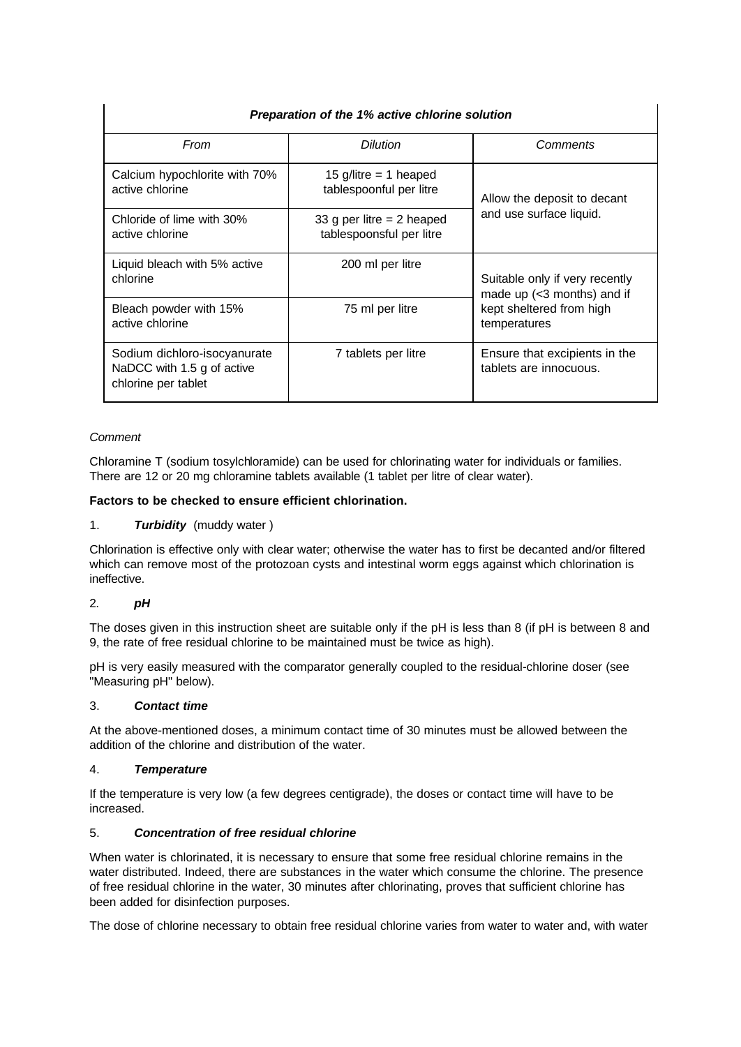| Preparation of the 1% active chlorine solution                                    |                                                         |                                                                       |  |
|-----------------------------------------------------------------------------------|---------------------------------------------------------|-----------------------------------------------------------------------|--|
| From                                                                              | <b>Dilution</b>                                         | Comments                                                              |  |
| Calcium hypochlorite with 70%<br>active chlorine                                  | 15 g/litre = 1 heaped<br>tablespoonful per litre        | Allow the deposit to decant                                           |  |
| Chloride of lime with 30%<br>active chlorine                                      | 33 g per litre $= 2$ heaped<br>tablespoonsful per litre | and use surface liquid.                                               |  |
| Liquid bleach with 5% active<br>chlorine                                          | 200 ml per litre                                        | Suitable only if very recently<br>made up $(3 \text{ months})$ and if |  |
| Bleach powder with 15%<br>active chlorine                                         | 75 ml per litre                                         | kept sheltered from high<br>temperatures                              |  |
| Sodium dichloro-isocyanurate<br>NaDCC with 1.5 g of active<br>chlorine per tablet | 7 tablets per litre                                     | Ensure that excipients in the<br>tablets are innocuous.               |  |

## *Comment*

Chloramine T (sodium tosylchloramide) can be used for chlorinating water for individuals or families. There are 12 or 20 mg chloramine tablets available (1 tablet per litre of clear water).

## **Factors to be checked to ensure efficient chlorination.**

## 1. *Turbidity* (muddy water )

Chlorination is effective only with clear water; otherwise the water has to first be decanted and/or filtered which can remove most of the protozoan cysts and intestinal worm eggs against which chlorination is ineffective.

## 2. *pH*

The doses given in this instruction sheet are suitable only if the pH is less than 8 (if pH is between 8 and 9, the rate of free residual chlorine to be maintained must be twice as high).

pH is very easily measured with the comparator generally coupled to the residual-chlorine doser (see "Measuring pH" below).

## 3. *Contact time*

At the above-mentioned doses, a minimum contact time of 30 minutes must be allowed between the addition of the chlorine and distribution of the water.

### 4. *Temperature*

If the temperature is very low (a few degrees centigrade), the doses or contact time will have to be increased.

## 5. *Concentration of free residual chlorine*

When water is chlorinated, it is necessary to ensure that some free residual chlorine remains in the water distributed. Indeed, there are substances in the water which consume the chlorine. The presence of free residual chlorine in the water, 30 minutes after chlorinating, proves that sufficient chlorine has been added for disinfection purposes.

The dose of chlorine necessary to obtain free residual chlorine varies from water to water and, with water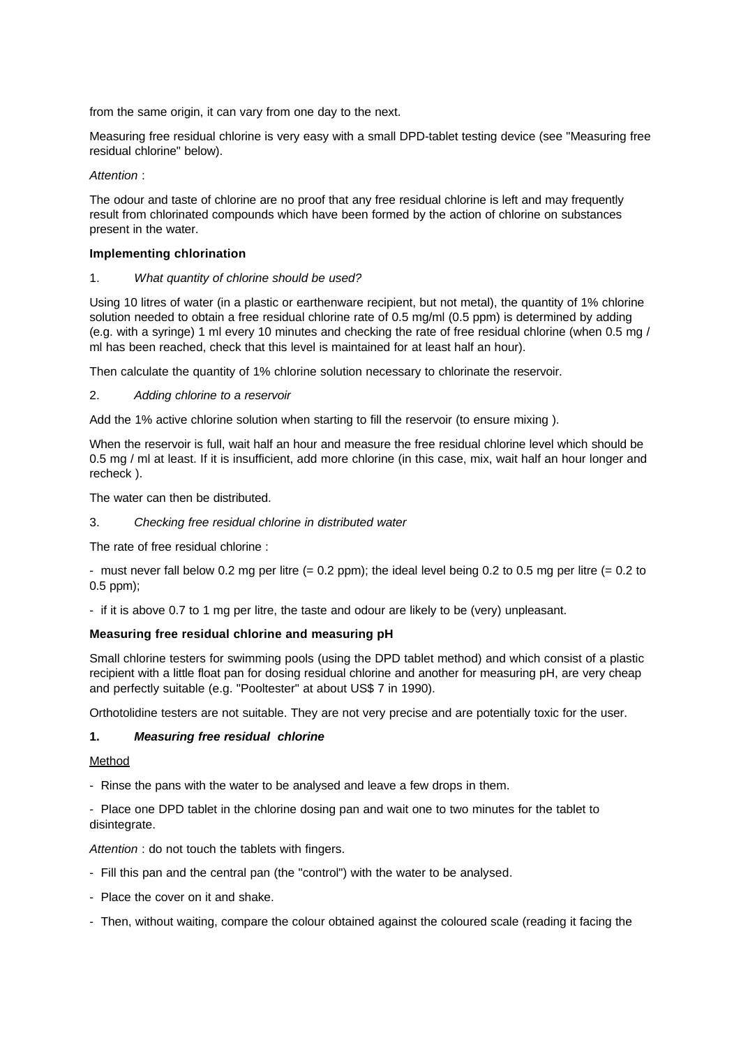from the same origin, it can vary from one day to the next.

Measuring free residual chlorine is very easy with a small DPD-tablet testing device (see "Measuring free residual chlorine" below).

## *Attention* :

The odour and taste of chlorine are no proof that any free residual chlorine is left and may frequently result from chlorinated compounds which have been formed by the action of chlorine on substances present in the water.

## **Implementing chlorination**

## 1. *What quantity of chlorine should be used?*

Using 10 litres of water (in a plastic or earthenware recipient, but not metal), the quantity of 1% chlorine solution needed to obtain a free residual chlorine rate of 0.5 mg/ml (0.5 ppm) is determined by adding (e.g. with a syringe) 1 ml every 10 minutes and checking the rate of free residual chlorine (when 0.5 mg / ml has been reached, check that this level is maintained for at least half an hour).

Then calculate the quantity of 1% chlorine solution necessary to chlorinate the reservoir.

## 2. *Adding chlorine to a reservoir*

Add the 1% active chlorine solution when starting to fill the reservoir (to ensure mixing ).

When the reservoir is full, wait half an hour and measure the free residual chlorine level which should be 0.5 mg / ml at least. If it is insufficient, add more chlorine (in this case, mix, wait half an hour longer and recheck ).

The water can then be distributed.

3. *Checking free residual chlorine in distributed water*

The rate of free residual chlorine :

- must never fall below 0.2 mg per litre  $(= 0.2 \text{ ppm})$ ; the ideal level being 0.2 to 0.5 mg per litre  $(= 0.2 \text{ to } 10^{-10})$ 0.5 ppm);

- if it is above 0.7 to 1 mg per litre, the taste and odour are likely to be (very) unpleasant.

## **Measuring free residual chlorine and measuring pH**

Small chlorine testers for swimming pools (using the DPD tablet method) and which consist of a plastic recipient with a little float pan for dosing residual chlorine and another for measuring pH, are very cheap and perfectly suitable (e.g. "Pooltester" at about US\$ 7 in 1990).

Orthotolidine testers are not suitable. They are not very precise and are potentially toxic for the user.

## **1.** *Measuring free residual chlorine*

Method

- Rinse the pans with the water to be analysed and leave a few drops in them.

- Place one DPD tablet in the chlorine dosing pan and wait one to two minutes for the tablet to disintegrate.

*Attention* : do not touch the tablets with fingers.

- Fill this pan and the central pan (the "control") with the water to be analysed.
- Place the cover on it and shake.
- Then, without waiting, compare the colour obtained against the coloured scale (reading it facing the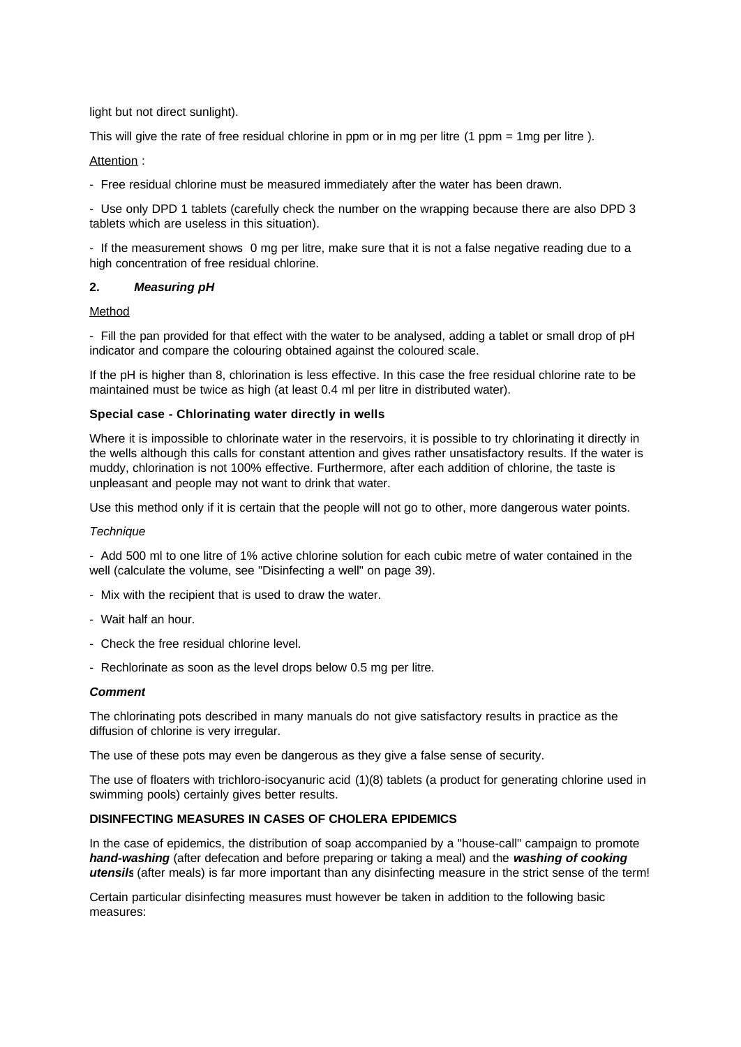light but not direct sunlight).

This will give the rate of free residual chlorine in ppm or in mg per litre (1 ppm = 1mg per litre ).

## Attention :

- Free residual chlorine must be measured immediately after the water has been drawn.

- Use only DPD 1 tablets (carefully check the number on the wrapping because there are also DPD 3 tablets which are useless in this situation).

- If the measurement shows 0 mg per litre, make sure that it is not a false negative reading due to a high concentration of free residual chlorine.

## **2.** *Measuring pH*

### Method

- Fill the pan provided for that effect with the water to be analysed, adding a tablet or small drop of pH indicator and compare the colouring obtained against the coloured scale.

If the pH is higher than 8, chlorination is less effective. In this case the free residual chlorine rate to be maintained must be twice as high (at least 0.4 ml per litre in distributed water).

## **Special case - Chlorinating water directly in wells**

Where it is impossible to chlorinate water in the reservoirs, it is possible to try chlorinating it directly in the wells although this calls for constant attention and gives rather unsatisfactory results. If the water is muddy, chlorination is not 100% effective. Furthermore, after each addition of chlorine, the taste is unpleasant and people may not want to drink that water.

Use this method only if it is certain that the people will not go to other, more dangerous water points.

### *Technique*

- Add 500 ml to one litre of 1% active chlorine solution for each cubic metre of water contained in the well (calculate the volume, see "Disinfecting a well" on page 39).

- Mix with the recipient that is used to draw the water.
- Wait half an hour.
- Check the free residual chlorine level.
- Rechlorinate as soon as the level drops below 0.5 mg per litre.

### *Comment*

The chlorinating pots described in many manuals do not give satisfactory results in practice as the diffusion of chlorine is very irregular.

The use of these pots may even be dangerous as they give a false sense of security.

The use of floaters with trichloro-isocyanuric acid (1)(8) tablets (a product for generating chlorine used in swimming pools) certainly gives better results.

### **DISINFECTING MEASURES IN CASES OF CHOLERA EPIDEMICS**

In the case of epidemics, the distribution of soap accompanied by a "house-call" campaign to promote *hand-washing* (after defecation and before preparing or taking a meal) and the *washing of cooking utensils* (after meals) is far more important than any disinfecting measure in the strict sense of the term!

Certain particular disinfecting measures must however be taken in addition to the following basic measures: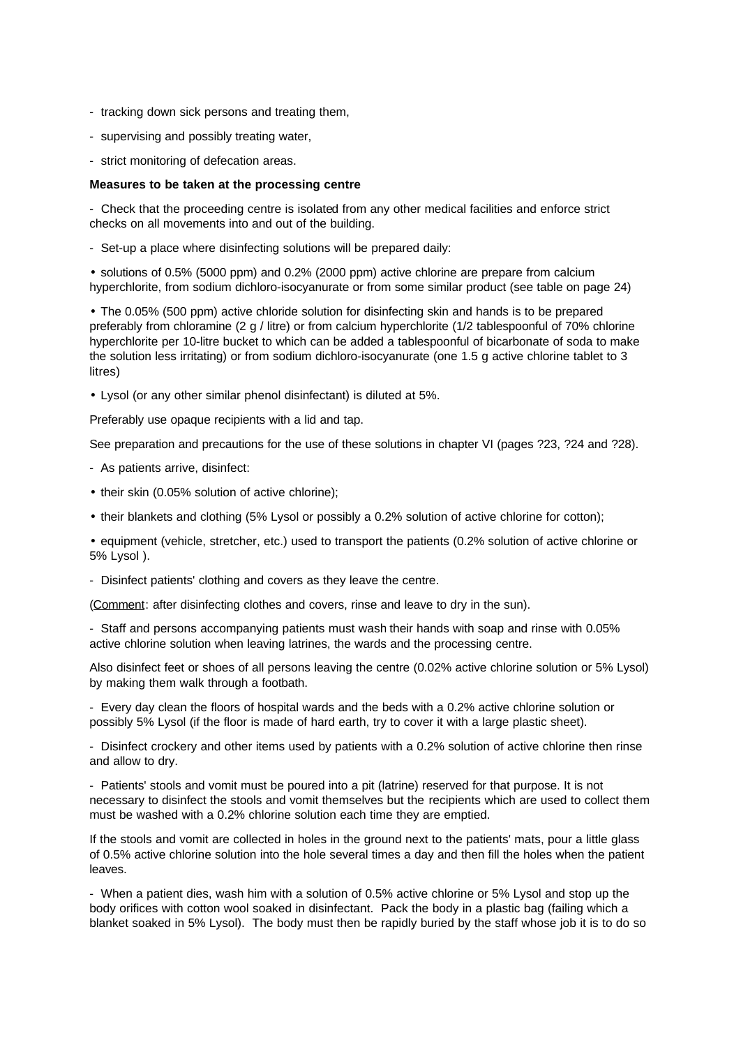- tracking down sick persons and treating them,
- supervising and possibly treating water,
- strict monitoring of defecation areas.

### **Measures to be taken at the processing centre**

- Check that the proceeding centre is isolated from any other medical facilities and enforce strict checks on all movements into and out of the building.

- Set-up a place where disinfecting solutions will be prepared daily:

• solutions of 0.5% (5000 ppm) and 0.2% (2000 ppm) active chlorine are prepare from calcium hyperchlorite, from sodium dichloro-isocyanurate or from some similar product (see table on page 24)

• The 0.05% (500 ppm) active chloride solution for disinfecting skin and hands is to be prepared preferably from chloramine (2 g / litre) or from calcium hyperchlorite (1/2 tablespoonful of 70% chlorine hyperchlorite per 10-litre bucket to which can be added a tablespoonful of bicarbonate of soda to make the solution less irritating) or from sodium dichloro-isocyanurate (one 1.5 g active chlorine tablet to 3 litres)

• Lysol (or any other similar phenol disinfectant) is diluted at 5%.

Preferably use opaque recipients with a lid and tap.

See preparation and precautions for the use of these solutions in chapter VI (pages ?23, ?24 and ?28).

- As patients arrive, disinfect:
- their skin (0.05% solution of active chlorine);
- their blankets and clothing (5% Lysol or possibly a 0.2% solution of active chlorine for cotton);
- equipment (vehicle, stretcher, etc.) used to transport the patients (0.2% solution of active chlorine or 5% Lysol ).
- Disinfect patients' clothing and covers as they leave the centre.

(Comment: after disinfecting clothes and covers, rinse and leave to dry in the sun).

- Staff and persons accompanying patients must wash their hands with soap and rinse with 0.05% active chlorine solution when leaving latrines, the wards and the processing centre.

Also disinfect feet or shoes of all persons leaving the centre (0.02% active chlorine solution or 5% Lysol) by making them walk through a footbath.

- Every day clean the floors of hospital wards and the beds with a 0.2% active chlorine solution or possibly 5% Lysol (if the floor is made of hard earth, try to cover it with a large plastic sheet).

- Disinfect crockery and other items used by patients with a 0.2% solution of active chlorine then rinse and allow to dry.

- Patients' stools and vomit must be poured into a pit (latrine) reserved for that purpose. It is not necessary to disinfect the stools and vomit themselves but the recipients which are used to collect them must be washed with a 0.2% chlorine solution each time they are emptied.

If the stools and vomit are collected in holes in the ground next to the patients' mats, pour a little glass of 0.5% active chlorine solution into the hole several times a day and then fill the holes when the patient leaves.

- When a patient dies, wash him with a solution of 0.5% active chlorine or 5% Lysol and stop up the body orifices with cotton wool soaked in disinfectant. Pack the body in a plastic bag (failing which a blanket soaked in 5% Lysol). The body must then be rapidly buried by the staff whose job it is to do so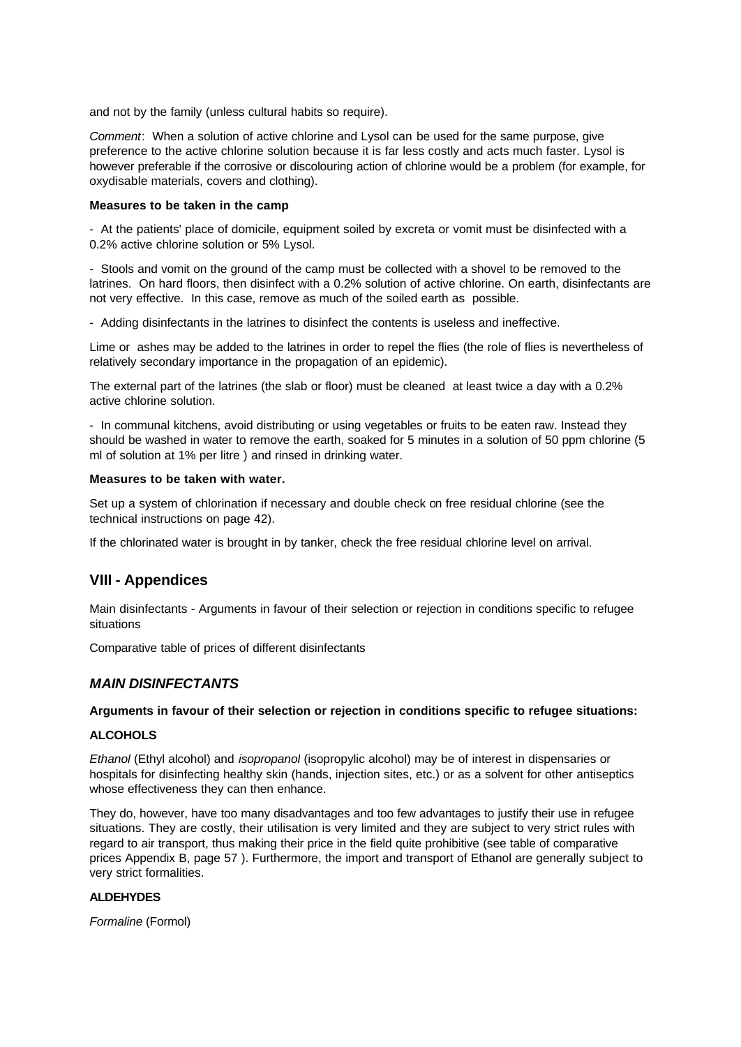and not by the family (unless cultural habits so require).

*Comment*: When a solution of active chlorine and Lysol can be used for the same purpose, give preference to the active chlorine solution because it is far less costly and acts much faster. Lysol is however preferable if the corrosive or discolouring action of chlorine would be a problem (for example, for oxydisable materials, covers and clothing).

### **Measures to be taken in the camp**

- At the patients' place of domicile, equipment soiled by excreta or vomit must be disinfected with a 0.2% active chlorine solution or 5% Lysol.

- Stools and vomit on the ground of the camp must be collected with a shovel to be removed to the latrines. On hard floors, then disinfect with a 0.2% solution of active chlorine. On earth, disinfectants are not very effective. In this case, remove as much of the soiled earth as possible.

- Adding disinfectants in the latrines to disinfect the contents is useless and ineffective.

Lime or ashes may be added to the latrines in order to repel the flies (the role of flies is nevertheless of relatively secondary importance in the propagation of an epidemic).

The external part of the latrines (the slab or floor) must be cleaned at least twice a day with a 0.2% active chlorine solution.

- In communal kitchens, avoid distributing or using vegetables or fruits to be eaten raw. Instead they should be washed in water to remove the earth, soaked for 5 minutes in a solution of 50 ppm chlorine (5 ml of solution at 1% per litre ) and rinsed in drinking water.

### **Measures to be taken with water.**

Set up a system of chlorination if necessary and double check on free residual chlorine (see the technical instructions on page 42).

If the chlorinated water is brought in by tanker, check the free residual chlorine level on arrival.

## **VIII - Appendices**

Main disinfectants - Arguments in favour of their selection or rejection in conditions specific to refugee situations

Comparative table of prices of different disinfectants

## *MAIN DISINFECTANTS*

### **Arguments in favour of their selection or rejection in conditions specific to refugee situations:**

### **ALCOHOLS**

*Ethanol* (Ethyl alcohol) and *isopropanol* (isopropylic alcohol) may be of interest in dispensaries or hospitals for disinfecting healthy skin (hands, injection sites, etc.) or as a solvent for other antiseptics whose effectiveness they can then enhance.

They do, however, have too many disadvantages and too few advantages to justify their use in refugee situations. They are costly, their utilisation is very limited and they are subject to very strict rules with regard to air transport, thus making their price in the field quite prohibitive (see table of comparative prices Appendix B, page 57 ). Furthermore, the import and transport of Ethanol are generally subject to very strict formalities.

### **ALDEHYDES**

*Formaline* (Formol)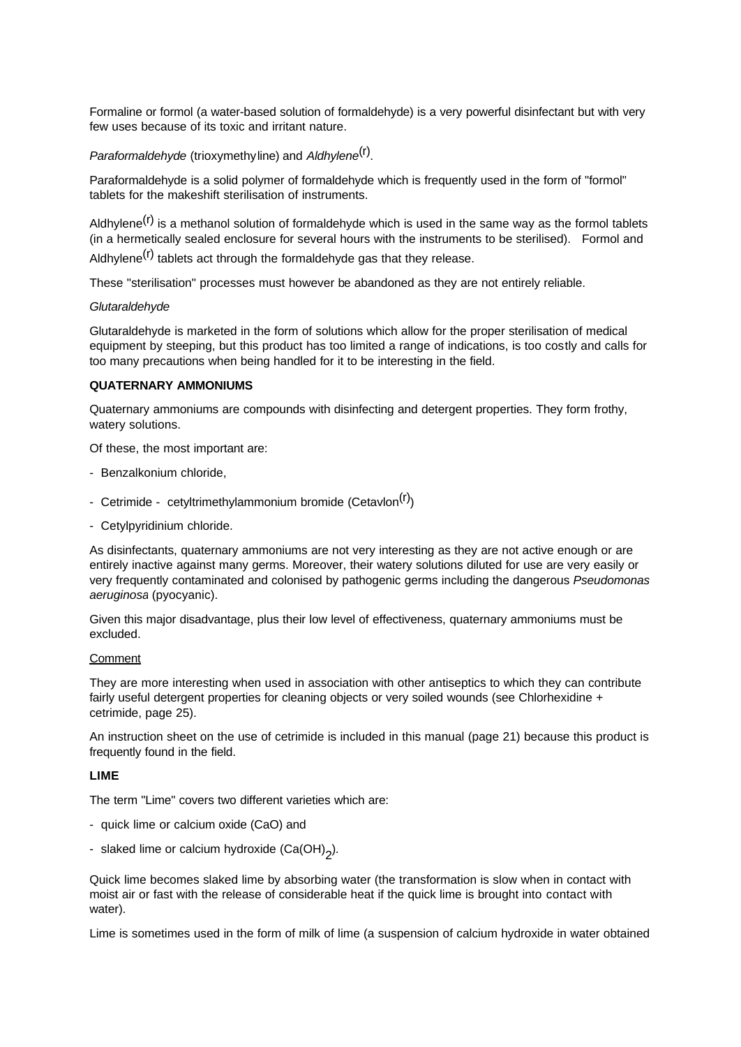Formaline or formol (a water-based solution of formaldehyde) is a very powerful disinfectant but with very few uses because of its toxic and irritant nature.

*Paraformaldehyde* (trioxymethyline) and *Aldhylene*(r) .

Paraformaldehyde is a solid polymer of formaldehyde which is frequently used in the form of "formol" tablets for the makeshift sterilisation of instruments.

Aldhylene<sup>(r)</sup> is a methanol solution of formaldehyde which is used in the same way as the formol tablets (in a hermetically sealed enclosure for several hours with the instruments to be sterilised). Formol and

Aldhylene<sup>(r)</sup> tablets act through the formaldehyde gas that they release.

These "sterilisation" processes must however be abandoned as they are not entirely reliable.

### *Glutaraldehyde*

Glutaraldehyde is marketed in the form of solutions which allow for the proper sterilisation of medical equipment by steeping, but this product has too limited a range of indications, is too costly and calls for too many precautions when being handled for it to be interesting in the field.

### **QUATERNARY AMMONIUMS**

Quaternary ammoniums are compounds with disinfecting and detergent properties. They form frothy, watery solutions.

Of these, the most important are:

- Benzalkonium chloride,
- Cetrimide cetyltrimethylammonium bromide (Cetavlon<sup>(r)</sup>)
- Cetylpyridinium chloride.

As disinfectants, quaternary ammoniums are not very interesting as they are not active enough or are entirely inactive against many germs. Moreover, their watery solutions diluted for use are very easily or very frequently contaminated and colonised by pathogenic germs including the dangerous *Pseudomonas aeruginosa* (pyocyanic).

Given this major disadvantage, plus their low level of effectiveness, quaternary ammoniums must be excluded.

#### **Comment**

They are more interesting when used in association with other antiseptics to which they can contribute fairly useful detergent properties for cleaning objects or very soiled wounds (see Chlorhexidine + cetrimide, page 25).

An instruction sheet on the use of cetrimide is included in this manual (page 21) because this product is frequently found in the field.

### **LIME**

The term "Lime" covers two different varieties which are:

- quick lime or calcium oxide (CaO) and
- slaked lime or calcium hydroxide (Ca(OH)<sub>2</sub>).

Quick lime becomes slaked lime by absorbing water (the transformation is slow when in contact with moist air or fast with the release of considerable heat if the quick lime is brought into contact with water).

Lime is sometimes used in the form of milk of lime (a suspension of calcium hydroxide in water obtained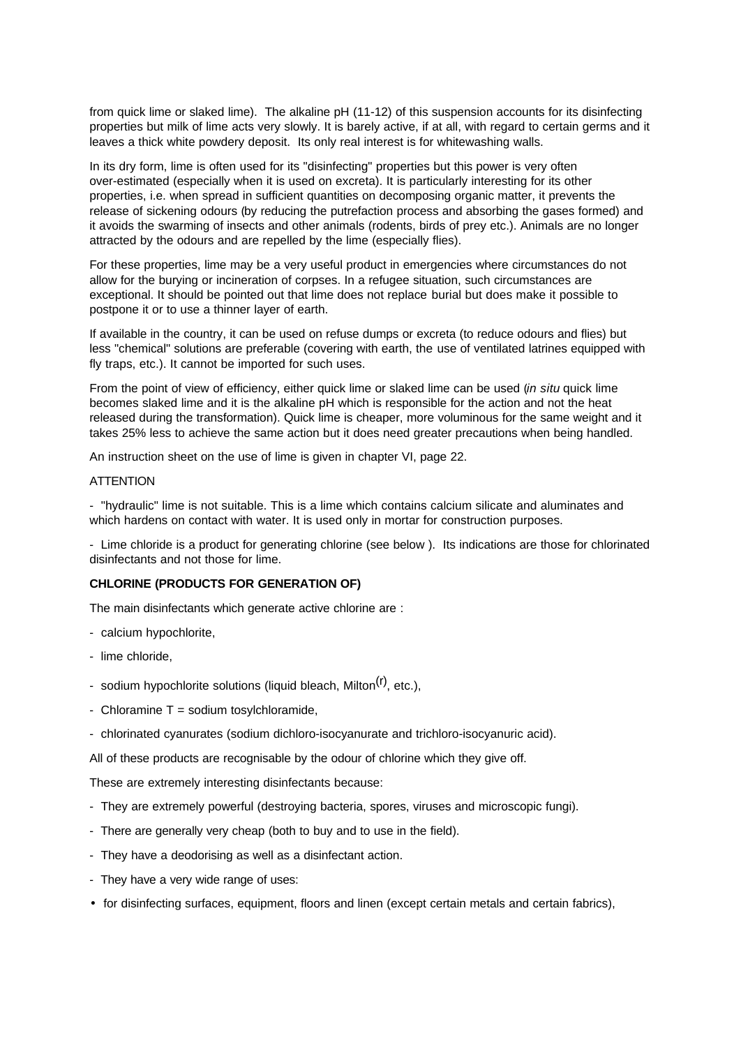from quick lime or slaked lime). The alkaline pH (11-12) of this suspension accounts for its disinfecting properties but milk of lime acts very slowly. It is barely active, if at all, with regard to certain germs and it leaves a thick white powdery deposit. Its only real interest is for whitewashing walls.

In its dry form, lime is often used for its "disinfecting" properties but this power is very often over-estimated (especially when it is used on excreta). It is particularly interesting for its other properties, i.e. when spread in sufficient quantities on decomposing organic matter, it prevents the release of sickening odours (by reducing the putrefaction process and absorbing the gases formed) and it avoids the swarming of insects and other animals (rodents, birds of prey etc.). Animals are no longer attracted by the odours and are repelled by the lime (especially flies).

For these properties, lime may be a very useful product in emergencies where circumstances do not allow for the burying or incineration of corpses. In a refugee situation, such circumstances are exceptional. It should be pointed out that lime does not replace burial but does make it possible to postpone it or to use a thinner layer of earth.

If available in the country, it can be used on refuse dumps or excreta (to reduce odours and flies) but less "chemical" solutions are preferable (covering with earth, the use of ventilated latrines equipped with fly traps, etc.). It cannot be imported for such uses.

From the point of view of efficiency, either quick lime or slaked lime can be used (*in situ* quick lime becomes slaked lime and it is the alkaline pH which is responsible for the action and not the heat released during the transformation). Quick lime is cheaper, more voluminous for the same weight and it takes 25% less to achieve the same action but it does need greater precautions when being handled.

An instruction sheet on the use of lime is given in chapter VI, page 22.

### **ATTENTION**

- "hydraulic" lime is not suitable. This is a lime which contains calcium silicate and aluminates and which hardens on contact with water. It is used only in mortar for construction purposes.

- Lime chloride is a product for generating chlorine (see below ). Its indications are those for chlorinated disinfectants and not those for lime.

### **CHLORINE (PRODUCTS FOR GENERATION OF)**

The main disinfectants which generate active chlorine are :

- calcium hypochlorite,
- lime chloride,
- sodium hypochlorite solutions (liquid bleach, Milton<sup>(r)</sup>, etc.).
- Chloramine  $T =$  sodium tosylchloramide,
- chlorinated cyanurates (sodium dichloro-isocyanurate and trichloro-isocyanuric acid).

All of these products are recognisable by the odour of chlorine which they give off.

These are extremely interesting disinfectants because:

- They are extremely powerful (destroying bacteria, spores, viruses and microscopic fungi).
- There are generally very cheap (both to buy and to use in the field).
- They have a deodorising as well as a disinfectant action.
- They have a very wide range of uses:
- for disinfecting surfaces, equipment, floors and linen (except certain metals and certain fabrics),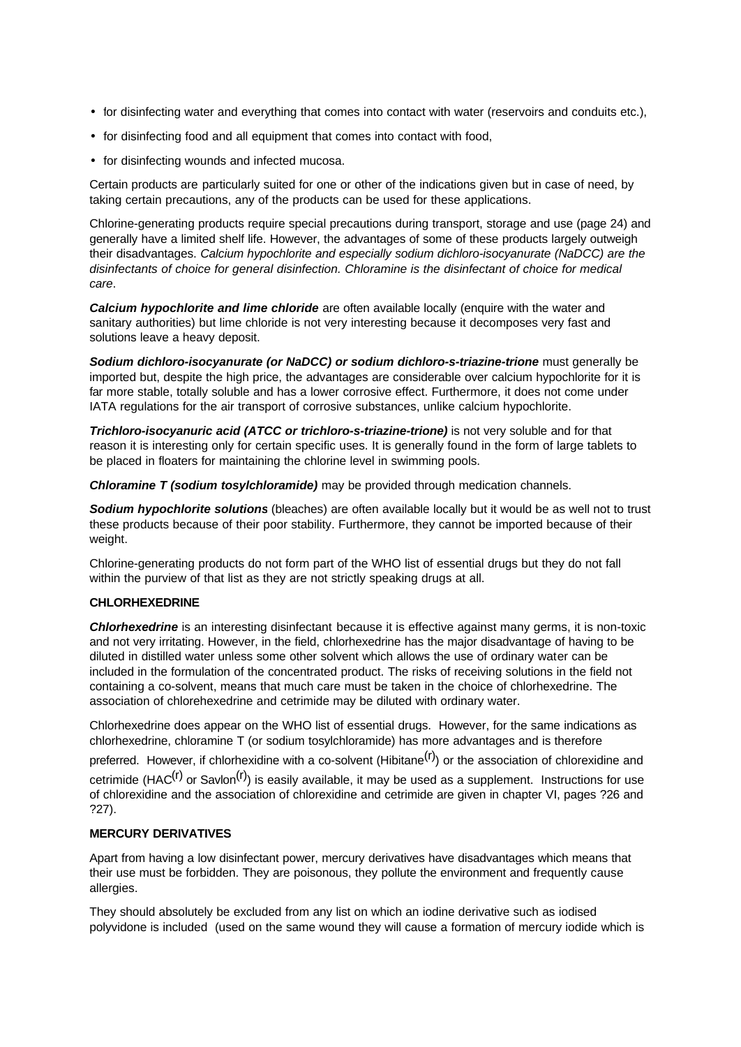- for disinfecting water and everything that comes into contact with water (reservoirs and conduits etc.),
- for disinfecting food and all equipment that comes into contact with food,
- for disinfecting wounds and infected mucosa.

Certain products are particularly suited for one or other of the indications given but in case of need, by taking certain precautions, any of the products can be used for these applications.

Chlorine-generating products require special precautions during transport, storage and use (page 24) and generally have a limited shelf life. However, the advantages of some of these products largely outweigh their disadvantages. *Calcium hypochlorite and especially sodium dichloro-isocyanurate (NaDCC) are the disinfectants of choice for general disinfection. Chloramine is the disinfectant of choice for medical care*.

**Calcium hypochlorite and lime chloride** are often available locally (enquire with the water and sanitary authorities) but lime chloride is not very interesting because it decomposes very fast and solutions leave a heavy deposit.

*Sodium dichloro-isocyanurate (or NaDCC) or sodium dichloro-s-triazine-trione* must generally be imported but, despite the high price, the advantages are considerable over calcium hypochlorite for it is far more stable, totally soluble and has a lower corrosive effect. Furthermore, it does not come under IATA regulations for the air transport of corrosive substances, unlike calcium hypochlorite.

*Trichloro-isocyanuric acid (ATCC or trichloro-s-triazine-trione)* is not very soluble and for that reason it is interesting only for certain specific uses. It is generally found in the form of large tablets to be placed in floaters for maintaining the chlorine level in swimming pools.

*Chloramine T (sodium tosylchloramide)* may be provided through medication channels.

*Sodium hypochlorite solutions* (bleaches) are often available locally but it would be as well not to trust these products because of their poor stability. Furthermore, they cannot be imported because of their weight.

Chlorine-generating products do not form part of the WHO list of essential drugs but they do not fall within the purview of that list as they are not strictly speaking drugs at all.

## **CHLORHEXEDRINE**

*Chlorhexedrine* is an interesting disinfectant because it is effective against many germs, it is non-toxic and not very irritating. However, in the field, chlorhexedrine has the major disadvantage of having to be diluted in distilled water unless some other solvent which allows the use of ordinary water can be included in the formulation of the concentrated product. The risks of receiving solutions in the field not containing a co-solvent, means that much care must be taken in the choice of chlorhexedrine. The association of chlorehexedrine and cetrimide may be diluted with ordinary water.

Chlorhexedrine does appear on the WHO list of essential drugs. However, for the same indications as chlorhexedrine, chloramine T (or sodium tosylchloramide) has more advantages and is therefore

preferred. However, if chlorhexidine with a co-solvent (Hibitane<sup>(r)</sup>) or the association of chlorexidine and cetrimide (HAC<sup>(r)</sup> or Savlon<sup>(r)</sup>) is easily available, it may be used as a supplement. Instructions for use of chlorexidine and the association of chlorexidine and cetrimide are given in chapter VI, pages ?26 and ?27).

### **MERCURY DERIVATIVES**

Apart from having a low disinfectant power, mercury derivatives have disadvantages which means that their use must be forbidden. They are poisonous, they pollute the environment and frequently cause allergies.

They should absolutely be excluded from any list on which an iodine derivative such as iodised polyvidone is included (used on the same wound they will cause a formation of mercury iodide which is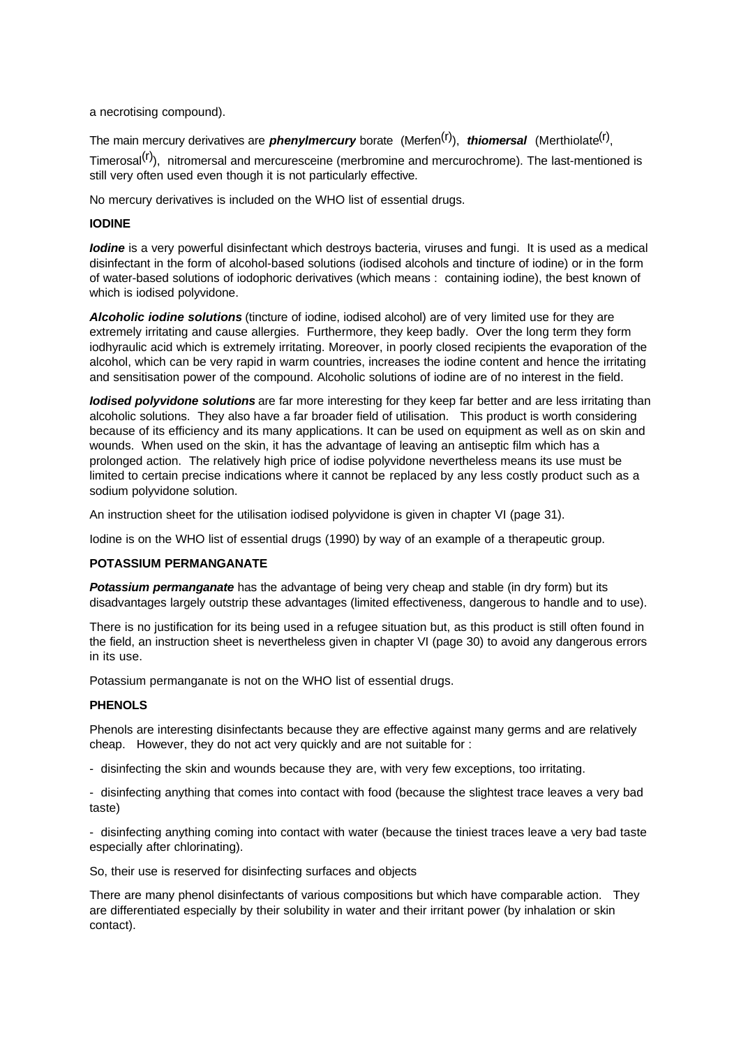a necrotising compound).

The main mercury derivatives are *phenylmercury* borate (Merfen<sup>(r)</sup>), *thiomersal* (Merthiolate<sup>(r)</sup>, Timerosal<sup>(r)</sup>), nitromersal and mercuresceine (merbromine and mercurochrome). The last-mentioned is still very often used even though it is not particularly effective.

No mercury derivatives is included on the WHO list of essential drugs.

## **IODINE**

*Iodine* is a very powerful disinfectant which destroys bacteria, viruses and fungi. It is used as a medical disinfectant in the form of alcohol-based solutions (iodised alcohols and tincture of iodine) or in the form of water-based solutions of iodophoric derivatives (which means : containing iodine), the best known of which is iodised polyvidone.

*Alcoholic iodine solutions* (tincture of iodine, iodised alcohol) are of very limited use for they are extremely irritating and cause allergies. Furthermore, they keep badly. Over the long term they form iodhyraulic acid which is extremely irritating. Moreover, in poorly closed recipients the evaporation of the alcohol, which can be very rapid in warm countries, increases the iodine content and hence the irritating and sensitisation power of the compound. Alcoholic solutions of iodine are of no interest in the field.

*Iodised polyvidone solutions* are far more interesting for they keep far better and are less irritating than alcoholic solutions. They also have a far broader field of utilisation. This product is worth considering because of its efficiency and its many applications. It can be used on equipment as well as on skin and wounds. When used on the skin, it has the advantage of leaving an antiseptic film which has a prolonged action. The relatively high price of iodise polyvidone nevertheless means its use must be limited to certain precise indications where it cannot be replaced by any less costly product such as a sodium polyvidone solution.

An instruction sheet for the utilisation iodised polyvidone is given in chapter VI (page 31).

Iodine is on the WHO list of essential drugs (1990) by way of an example of a therapeutic group.

## **POTASSIUM PERMANGANATE**

**Potassium permanganate** has the advantage of being very cheap and stable (in dry form) but its disadvantages largely outstrip these advantages (limited effectiveness, dangerous to handle and to use).

There is no justification for its being used in a refugee situation but, as this product is still often found in the field, an instruction sheet is nevertheless given in chapter VI (page 30) to avoid any dangerous errors in its use.

Potassium permanganate is not on the WHO list of essential drugs.

## **PHENOLS**

Phenols are interesting disinfectants because they are effective against many germs and are relatively cheap. However, they do not act very quickly and are not suitable for :

- disinfecting the skin and wounds because they are, with very few exceptions, too irritating.

- disinfecting anything that comes into contact with food (because the slightest trace leaves a very bad taste)

- disinfecting anything coming into contact with water (because the tiniest traces leave a very bad taste especially after chlorinating).

So, their use is reserved for disinfecting surfaces and objects

There are many phenol disinfectants of various compositions but which have comparable action. They are differentiated especially by their solubility in water and their irritant power (by inhalation or skin contact).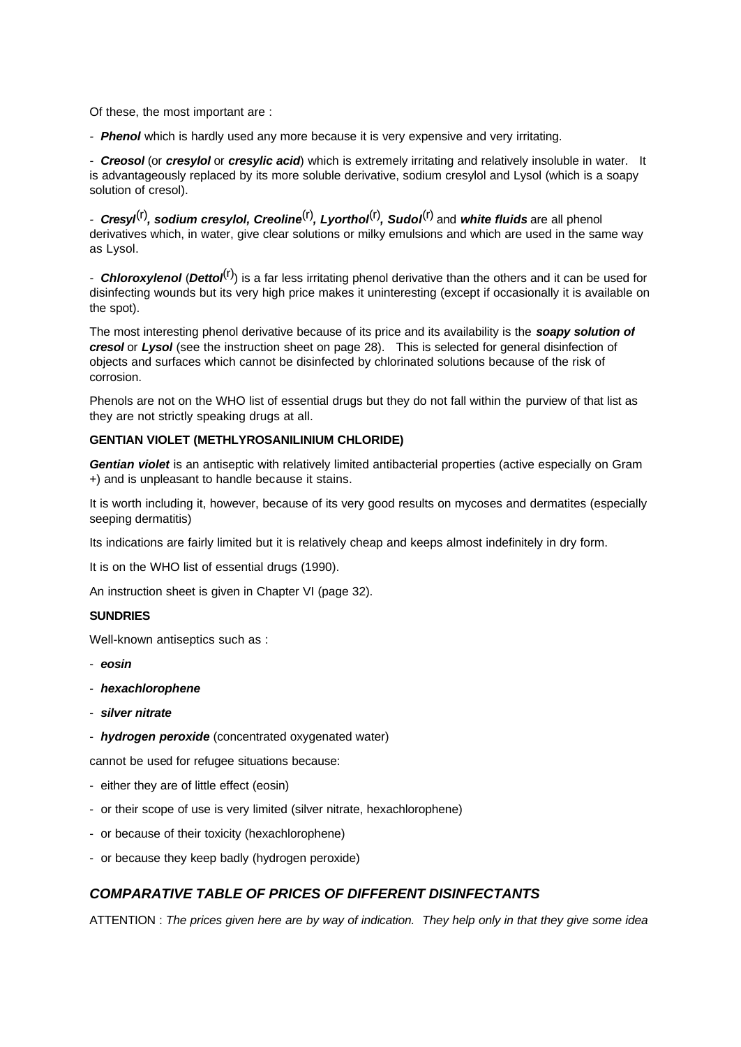Of these, the most important are :

*- Phenol* which is hardly used any more because it is very expensive and very irritating.

*- Creosol* (or *cresylol* or *cresylic acid*) which is extremely irritating and relatively insoluble in water. It is advantageously replaced by its more soluble derivative, sodium cresylol and Lysol (which is a soapy solution of cresol).

*- Cresyl*(r)*, sodium cresylol, Creoline*(r)*, Lyorthol*(r)*, Sudol*(r) and *white fluids* are all phenol derivatives which, in water, give clear solutions or milky emulsions and which are used in the same way as Lysol.

*- Chloroxylenol* (*Dettol*(r)) is a far less irritating phenol derivative than the others and it can be used for disinfecting wounds but its very high price makes it uninteresting (except if occasionally it is available on the spot).

The most interesting phenol derivative because of its price and its availability is the *soapy solution of cresol* or *Lysol* (see the instruction sheet on page 28). This is selected for general disinfection of objects and surfaces which cannot be disinfected by chlorinated solutions because of the risk of corrosion.

Phenols are not on the WHO list of essential drugs but they do not fall within the purview of that list as they are not strictly speaking drugs at all.

## **GENTIAN VIOLET (METHLYROSANILINIUM CHLORIDE)**

*Gentian violet* is an antiseptic with relatively limited antibacterial properties (active especially on Gram +) and is unpleasant to handle because it stains.

It is worth including it, however, because of its very good results on mycoses and dermatites (especially seeping dermatitis)

Its indications are fairly limited but it is relatively cheap and keeps almost indefinitely in dry form.

It is on the WHO list of essential drugs (1990).

An instruction sheet is given in Chapter VI (page 32).

### **SUNDRIES**

Well-known antiseptics such as :

- *eosin*
- *hexachlorophene*
- *silver nitrate*
- *hydrogen peroxide* (concentrated oxygenated water)

cannot be used for refugee situations because:

- either they are of little effect (eosin)
- or their scope of use is very limited (silver nitrate, hexachlorophene)
- or because of their toxicity (hexachlorophene)
- or because they keep badly (hydrogen peroxide)

## *COMPARATIVE TABLE OF PRICES OF DIFFERENT DISINFECTANTS*

ATTENTION : *The prices given here are by way of indication. They help only in that they give some idea*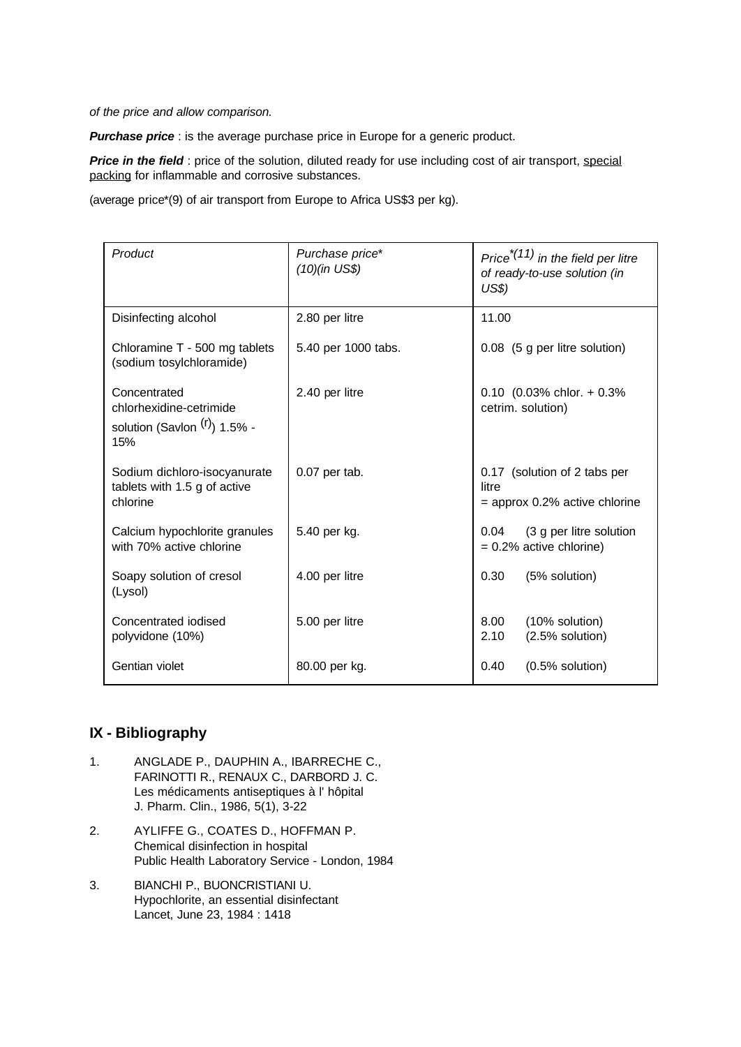*of the price and allow comparison.*

**Purchase price**: is the average purchase price in Europe for a generic product.

**Price in the field** : price of the solution, diluted ready for use including cost of air transport, special packing for inflammable and corrosive substances.

(average price\*(9) of air transport from Europe to Africa US\$3 per kg).

| Product                                                                           | Purchase price*<br>(10)(in US\$) | Price <sup><math>*(11)</math></sup> in the field per litre<br>of ready-to-use solution (in<br>US\$ |
|-----------------------------------------------------------------------------------|----------------------------------|----------------------------------------------------------------------------------------------------|
| Disinfecting alcohol                                                              | 2.80 per litre                   | 11.00                                                                                              |
| Chloramine T - 500 mg tablets<br>(sodium tosylchloramide)                         | 5.40 per 1000 tabs.              | 0.08 (5 g per litre solution)                                                                      |
| Concentrated<br>chlorhexidine-cetrimide<br>solution (Savlon $(r)$ ) 1.5% -<br>15% | 2.40 per litre                   | $0.10$ (0.03% chlor. + 0.3%<br>cetrim. solution)                                                   |
| Sodium dichloro-isocyanurate<br>tablets with 1.5 g of active<br>chlorine          | $0.07$ per tab.                  | 0.17 (solution of 2 tabs per<br>litre<br>$=$ approx 0.2% active chlorine                           |
| Calcium hypochlorite granules<br>with 70% active chlorine                         | 5.40 per kg.                     | (3 g per litre solution<br>0.04<br>$= 0.2\%$ active chlorine)                                      |
| Soapy solution of cresol<br>(Lysol)                                               | 4.00 per litre                   | 0.30<br>(5% solution)                                                                              |
| Concentrated iodised<br>polyvidone (10%)                                          | 5.00 per litre                   | 8.00<br>(10% solution)<br>2.10<br>$(2.5%$ solution)                                                |
| Gentian violet                                                                    | 80.00 per kg.                    | $(0.5%$ solution)<br>0.40                                                                          |

## **IX - Bibliography**

- 1. ANGLADE P., DAUPHIN A., IBARRECHE C., FARINOTTI R., RENAUX C., DARBORD J. C. Les médicaments antiseptiques à l' hôpital J. Pharm. Clin., 1986, 5(1), 3-22
- 2. AYLIFFE G., COATES D., HOFFMAN P. Chemical disinfection in hospital Public Health Laboratory Service - London, 1984
- 3. BIANCHI P., BUONCRISTIANI U. Hypochlorite, an essential disinfectant Lancet, June 23, 1984 : 1418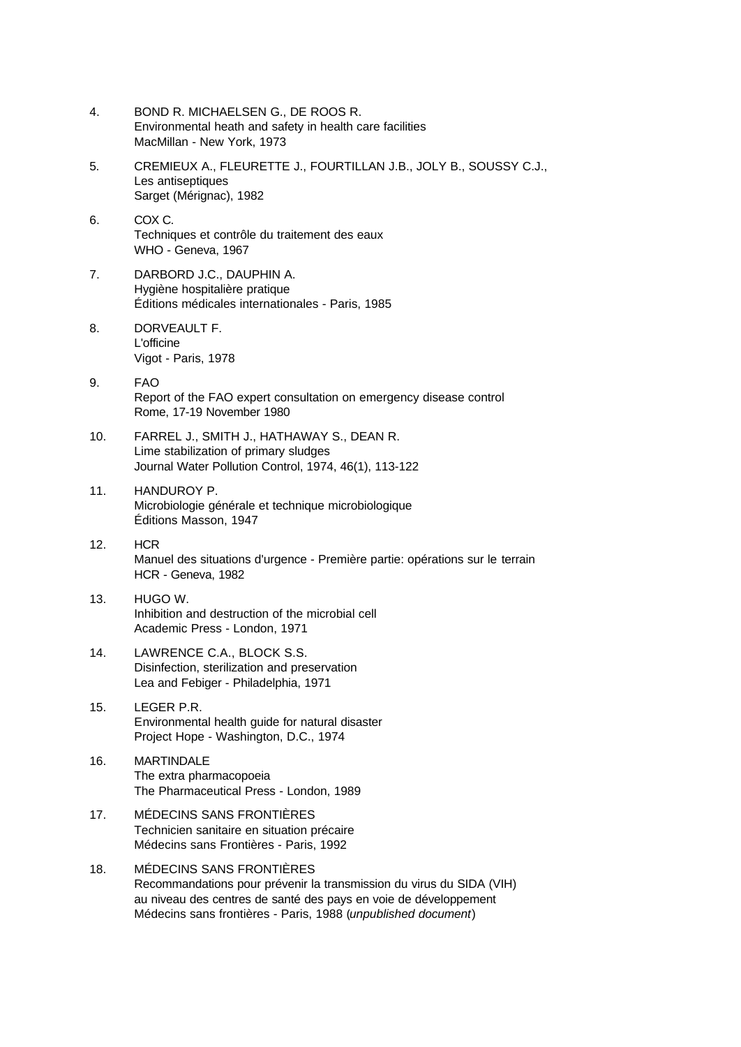- 4. BOND R. MICHAELSEN G., DE ROOS R. Environmental heath and safety in health care facilities MacMillan - New York, 1973
- 5. CREMIEUX A., FLEURETTE J., FOURTILLAN J.B., JOLY B., SOUSSY C.J., Les antiseptiques Sarget (Mérignac), 1982
- 6. COX C. Techniques et contrôle du traitement des eaux WHO - Geneva, 1967
- 7. DARBORD J.C., DAUPHIN A. Hygiène hospitalière pratique Éditions médicales internationales - Paris, 1985
- 8. DORVEAULT F. L'officine Vigot - Paris, 1978
- 9. FAO Report of the FAO expert consultation on emergency disease control Rome, 17-19 November 1980
- 10. FARREL J., SMITH J., HATHAWAY S., DEAN R. Lime stabilization of primary sludges Journal Water Pollution Control, 1974, 46(1), 113-122
- 11. HANDUROY P. Microbiologie générale et technique microbiologique Éditions Masson, 1947
- 12. HCR Manuel des situations d'urgence - Première partie: opérations sur le terrain HCR - Geneva, 1982
- 13. HUGO W. Inhibition and destruction of the microbial cell Academic Press - London, 1971
- 14. LAWRENCE C.A., BLOCK S.S. Disinfection, sterilization and preservation Lea and Febiger - Philadelphia, 1971
- 15. LEGER P.R. Environmental health guide for natural disaster Project Hope - Washington, D.C., 1974
- 16. MARTINDALE The extra pharmacopoeia The Pharmaceutical Press - London, 1989
- 17. MÉDECINS SANS FRONTIÈRES Technicien sanitaire en situation précaire Médecins sans Frontières - Paris, 1992
- 18. MÉDECINS SANS FRONTIÈRES Recommandations pour prévenir la transmission du virus du SIDA (VIH) au niveau des centres de santé des pays en voie de développement Médecins sans frontières - Paris, 1988 (*unpublished document*)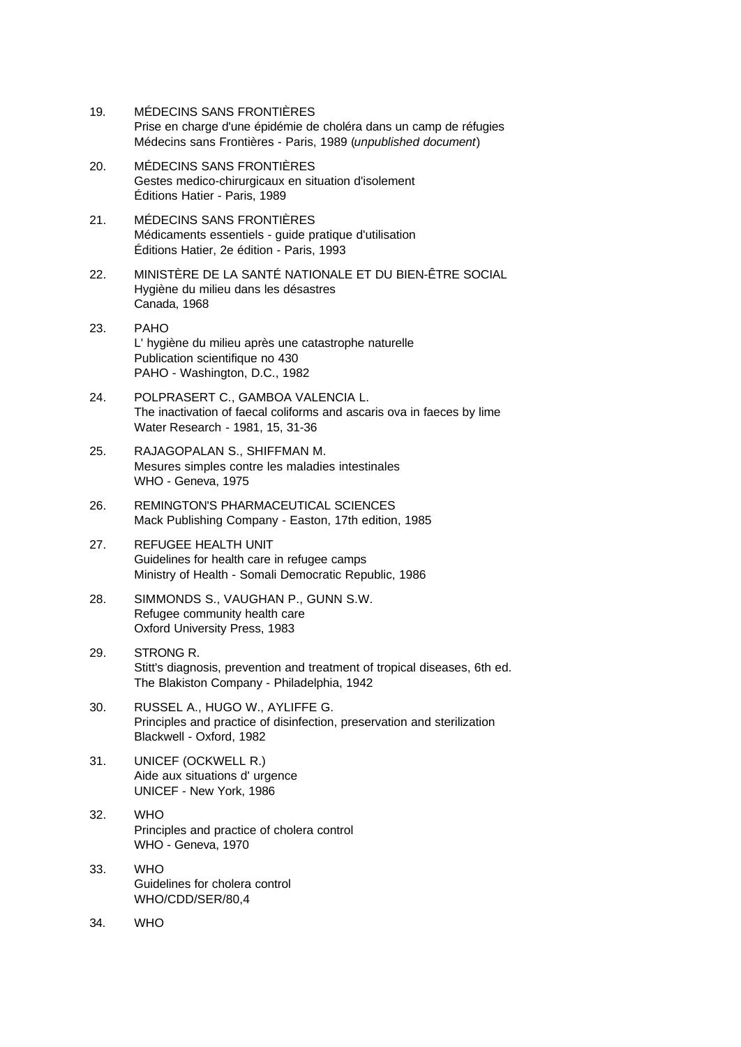- 19. MÉDECINS SANS FRONTIÈRES Prise en charge d'une épidémie de choléra dans un camp de réfugies Médecins sans Frontières - Paris, 1989 (*unpublished document*)
- 20. MÉDECINS SANS FRONTIÈRES Gestes medico-chirurgicaux en situation d'isolement Éditions Hatier - Paris, 1989
- 21. MÉDECINS SANS FRONTIÈRES Médicaments essentiels - guide pratique d'utilisation Éditions Hatier, 2e édition - Paris, 1993
- 22. MINISTÈRE DE LA SANTÉ NATIONALE ET DU BIEN-ÊTRE SOCIAL Hygiène du milieu dans les désastres Canada, 1968
- 23. PAHO L' hygiène du milieu après une catastrophe naturelle Publication scientifique no 430 PAHO - Washington, D.C., 1982
- 24. POLPRASERT C., GAMBOA VALENCIA L. The inactivation of faecal coliforms and ascaris ova in faeces by lime Water Research - 1981, 15, 31-36
- 25. RAJAGOPALAN S., SHIFFMAN M. Mesures simples contre les maladies intestinales WHO - Geneva, 1975
- 26. REMINGTON'S PHARMACEUTICAL SCIENCES Mack Publishing Company - Easton, 17th edition, 1985
- 27. REFUGEE HEALTH UNIT Guidelines for health care in refugee camps Ministry of Health - Somali Democratic Republic, 1986
- 28. SIMMONDS S., VAUGHAN P., GUNN S.W. Refugee community health care Oxford University Press, 1983
- 29. STRONG R. Stitt's diagnosis, prevention and treatment of tropical diseases, 6th ed. The Blakiston Company - Philadelphia, 1942
- 30. RUSSEL A., HUGO W., AYLIFFE G. Principles and practice of disinfection, preservation and sterilization Blackwell - Oxford, 1982
- 31. UNICEF (OCKWELL R.) Aide aux situations d' urgence UNICEF - New York, 1986
- 32. WHO Principles and practice of cholera control WHO - Geneva, 1970
- 33. WHO Guidelines for cholera control WHO/CDD/SER/80,4
- 34. WHO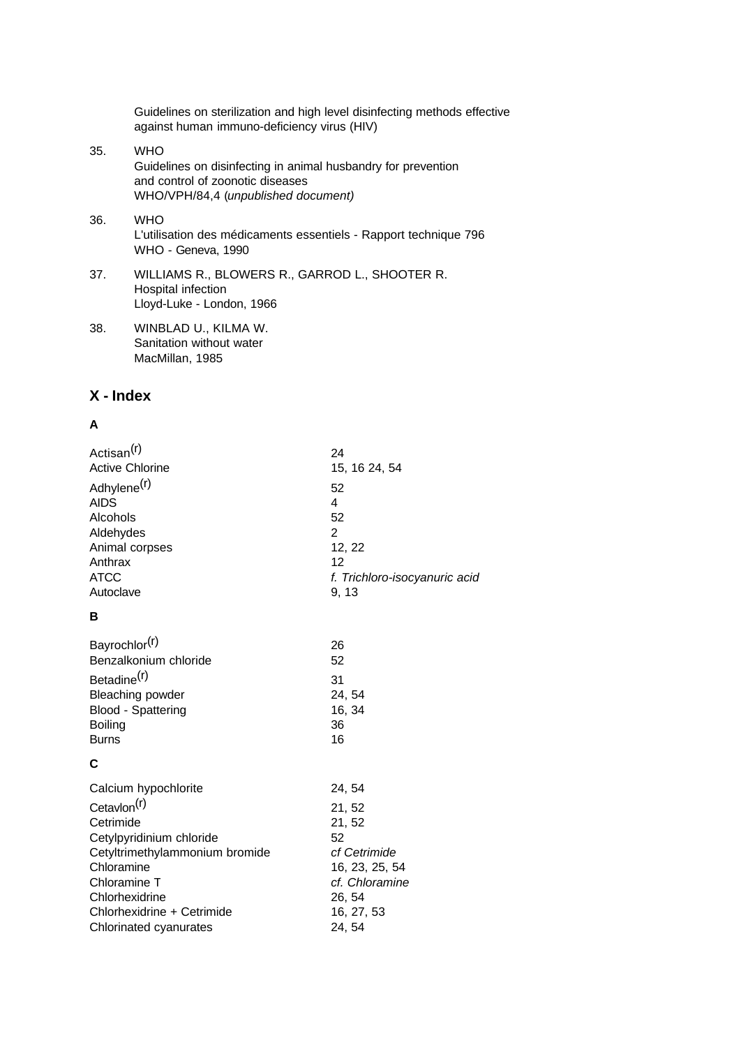Guidelines on sterilization and high level disinfecting methods effective against human immuno-deficiency virus (HIV)

- 35. WHO Guidelines on disinfecting in animal husbandry for prevention and control of zoonotic diseases WHO/VPH/84,4 (*unpublished document)*
- 36. WHO L'utilisation des médicaments essentiels - Rapport technique 796 WHO - Geneva, 1990
- 37. WILLIAMS R., BLOWERS R., GARROD L., SHOOTER R. Hospital infection Lloyd-Luke - London, 1966
- 38. WINBLAD U., KILMA W. Sanitation without water MacMillan, 1985

## **X - Index**

## **A**

| 24                            |
|-------------------------------|
| 15, 16 24, 54                 |
| 52                            |
| 4                             |
| 52                            |
| $\overline{2}$                |
| 12, 22                        |
| 12                            |
| f. Trichloro-isocyanuric acio |
| 9, 13                         |
|                               |
| 26                            |
| 52                            |
| 31                            |
| 24, 54                        |
| 16, 34                        |
| 36                            |
| 16                            |
|                               |
| 24, 54                        |
| 21, 52                        |
| 21, 52                        |
| 52                            |
| cf Cetrimide                  |
| 16, 23, 25, 54                |
| cf. Chloramine                |
| 26, 54                        |
| 16, 27, 53                    |
| 24, 54                        |
|                               |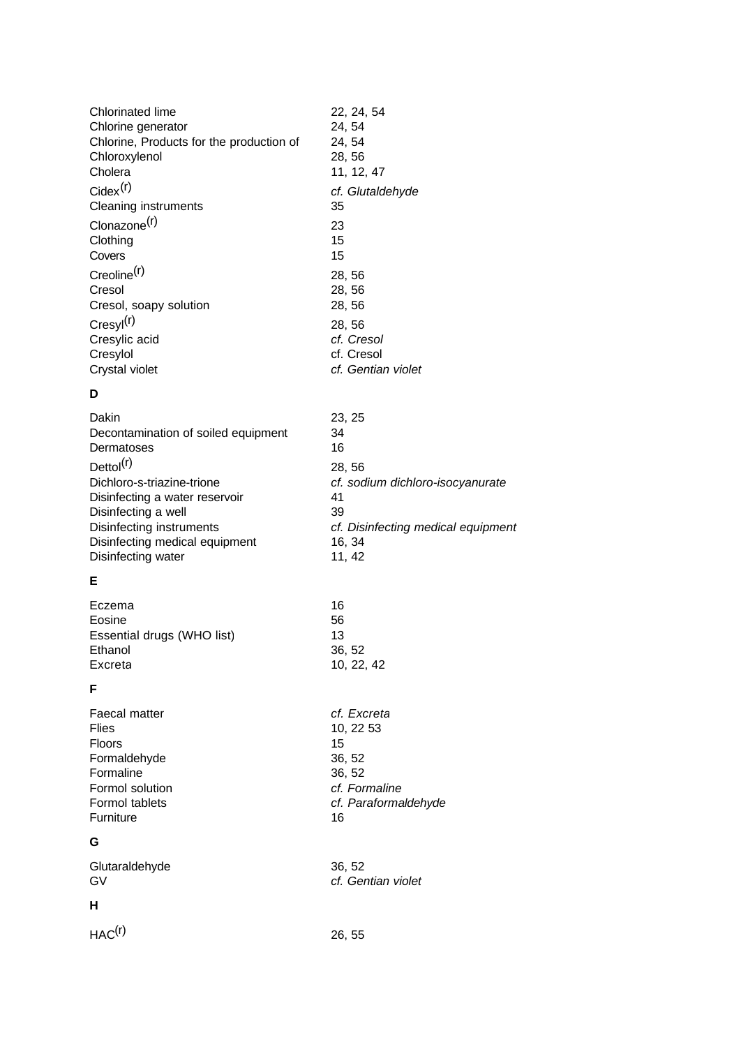| 22, 24, 54         |
|--------------------|
| 24, 54             |
| 24, 54             |
| 28, 56             |
| 11, 12, 47         |
| cf. Glutaldehyde   |
| 35                 |
| 23                 |
| 15                 |
| 15                 |
| 28, 56             |
| 28, 56             |
| 28, 56             |
| 28, 56             |
| cf. Cresol         |
| cf. Cresol         |
| cf. Gentian violet |
|                    |

# **D**

| Dakin<br>Decontamination of soiled equipment<br>Dermatoses   | 23, 25<br>34<br>16                     |
|--------------------------------------------------------------|----------------------------------------|
| Dettol <sup>(r)</sup>                                        | 28, 56                                 |
| Dichloro-s-triazine-trione<br>Disinfecting a water reservoir | cf. sodium dichloro-isocyanurate<br>41 |
| Disinfecting a well                                          | 39                                     |
| Disinfecting instruments<br>Disinfecting medical equipment   | cf. Disinfecting medical equipment     |
| Disinfecting water                                           | 16, 34<br>11, 42                       |

# **E**

| Eczema                     | 16         |
|----------------------------|------------|
| Eosine                     | 56         |
| Essential drugs (WHO list) | 13         |
| Ethanol                    | 36.52      |
| Excreta                    | 10, 22, 42 |

# **F**

| г.              |                      |
|-----------------|----------------------|
| Faecal matter   | cf. Excreta          |
| Flies           | 10, 22 53            |
| <b>Floors</b>   | 15                   |
| Formaldehyde    | 36, 52               |
| Formaline       | 36, 52               |
| Formol solution | cf. Formaline        |
| Formol tablets  | cf. Paraformaldehyde |
| Furniture       | 16                   |
| G               |                      |
| Glutaraldehyde  | 36, 52               |
| GV              | cf. Gentian violet   |
| н               |                      |
|                 | 26, 55               |
|                 |                      |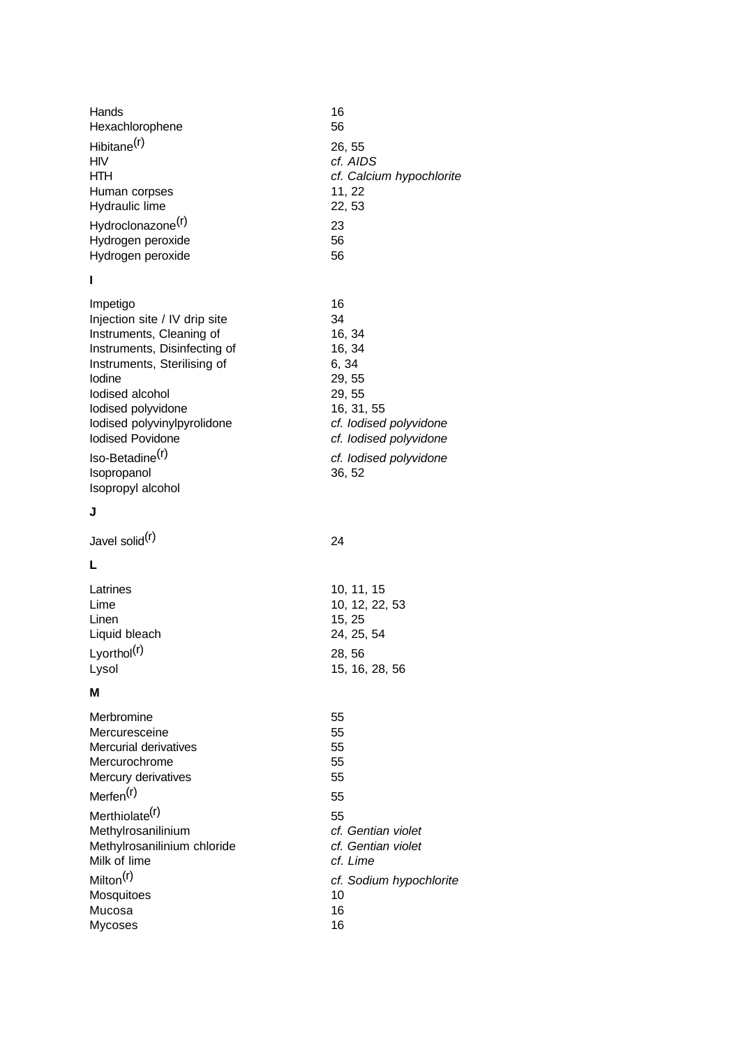| Hands                         | 16                       |
|-------------------------------|--------------------------|
| Hexachlorophene               | 56                       |
| Hibitane <sup>(r)</sup>       | 26, 55                   |
| <b>HIV</b>                    | cf. AIDS                 |
| <b>HTH</b>                    | cf. Calcium hypochlorite |
| Human corpses                 | 11, 22                   |
| Hydraulic lime                | 22, 53                   |
| Hydroclonazone <sup>(r)</sup> | 23                       |
| Hydrogen peroxide             | 56                       |
| Hydrogen peroxide             | 56                       |
| ı                             |                          |
| Impetigo                      | 16                       |
| Injection site / IV drip site | 34                       |
| Instruments, Cleaning of      | 16, 34                   |
| Instruments, Disinfecting of  | 16, 34                   |
| Instruments, Sterilising of   | 6, 34                    |
| lodine                        | 29, 55                   |
| lodised alcohol               | 29, 55                   |
| lodised polyvidone            | 16, 31, 55               |
| lodised polyvinylpyrolidone   | cf. lodised polyvidone   |
| <b>Iodised Povidone</b>       | cf. lodised polyvidone   |
| Iso-Betadine <sup>(r)</sup>   | cf. lodised polyvidone   |
| Isopropanol                   | 36, 52                   |
| Isopropyl alcohol             |                          |

# **J**

Javel solid<sup>(r)</sup>

# **L**

| 10, 11, 15     |
|----------------|
| 10, 12, 22, 53 |
| 15.25          |
| 24, 25, 54     |
| 28, 56         |
| 15, 16, 28, 56 |
|                |

<u>24 and 24</u>

# **M**

| Merbromine                  | 55                      |
|-----------------------------|-------------------------|
| Mercuresceine               | 55                      |
| Mercurial derivatives       | 55                      |
| Mercurochrome               | 55                      |
| Mercury derivatives         | 55                      |
| Merfen <sup>(r)</sup>       | 55                      |
| Merthiolate <sup>(r)</sup>  | 55                      |
| Methylrosanilinium          | cf. Gentian violet      |
| Methylrosanilinium chloride | cf. Gentian violet      |
| Milk of lime                | cf. Lime                |
| Milton <sup>(r)</sup>       | cf. Sodium hypochlorite |
| Mosquitoes                  | 10                      |
| Mucosa                      | 16                      |
| Mycoses                     | 16                      |
|                             |                         |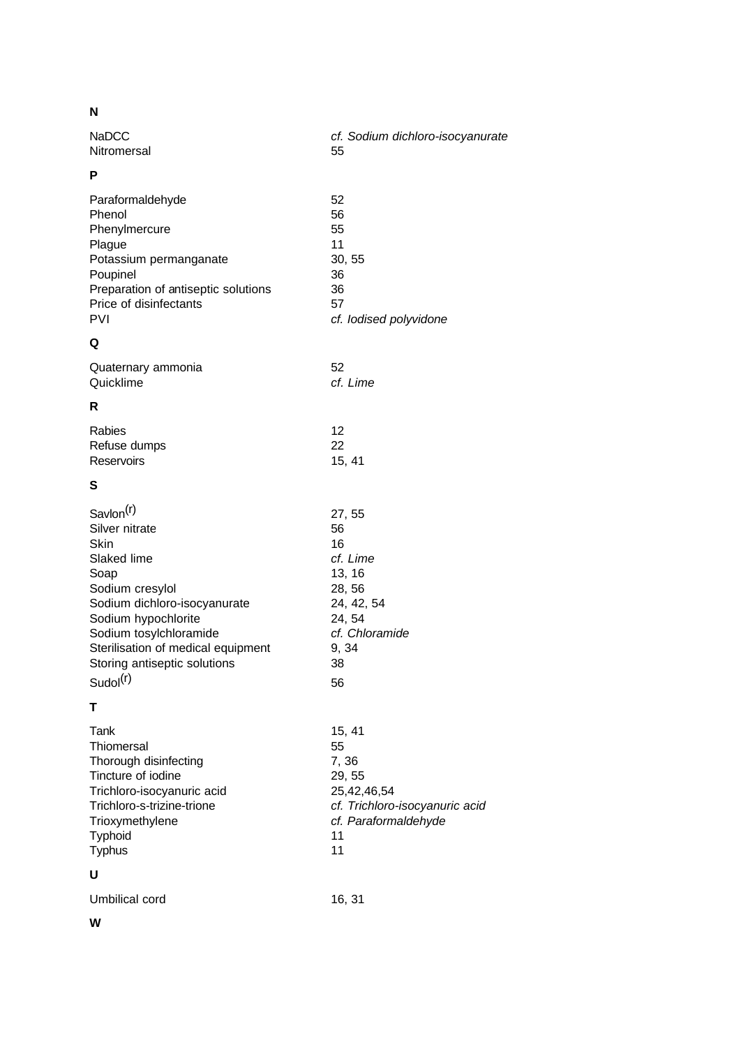# **N**

| NaDCC       | cf. Sodium dichloro-isocyanurate |
|-------------|----------------------------------|
| Nitromersal | 55                               |
| P           |                                  |

| Paraformaldehyde                    | 52                     |
|-------------------------------------|------------------------|
| Phenol                              | 56                     |
| Phenylmercure                       | 55                     |
| Plague                              | 11                     |
| Potassium permanganate              | 30, 55                 |
| Poupinel                            | 36                     |
| Preparation of antiseptic solutions | 36                     |
| Price of disinfectants              | 57                     |
| PVI                                 | cf. lodised polyvidone |
|                                     |                        |

# **Q**

| Quaternary ammonia | 52       |
|--------------------|----------|
| Quicklime          | cf. Lime |

# **R**

| <b>Rabies</b> | 12     |
|---------------|--------|
| Refuse dumps  | -22    |
| Reservoirs    | 15, 41 |

# **S**

| Savlon <sup>(r)</sup>              | 27, 55         |
|------------------------------------|----------------|
| Silver nitrate                     | 56             |
| Skin                               | 16             |
| Slaked lime                        | cf. Lime       |
| Soap                               | 13, 16         |
| Sodium cresylol                    | 28, 56         |
| Sodium dichloro-isocyanurate       | 24, 42, 54     |
| Sodium hypochlorite                | 24, 54         |
| Sodium tosylchloramide             | cf. Chloramide |
| Sterilisation of medical equipment | 9, 34          |
| Storing antiseptic solutions       | 38             |
| Sudol(r)                           | 56             |

# **T**

| Tank                       | 15, 41                         |
|----------------------------|--------------------------------|
| Thiomersal                 | 55                             |
| Thorough disinfecting      | 7, 36                          |
| Tincture of iodine         | 29, 55                         |
| Trichloro-isocyanuric acid | 25,42,46,54                    |
| Trichloro-s-trizine-trione | cf. Trichloro-isocyanuric acid |
| Trioxymethylene            | cf. Paraformaldehyde           |
| Typhoid                    | 11                             |
| <b>Typhus</b>              | 11                             |
| U                          |                                |

Umbilical cord 16, 31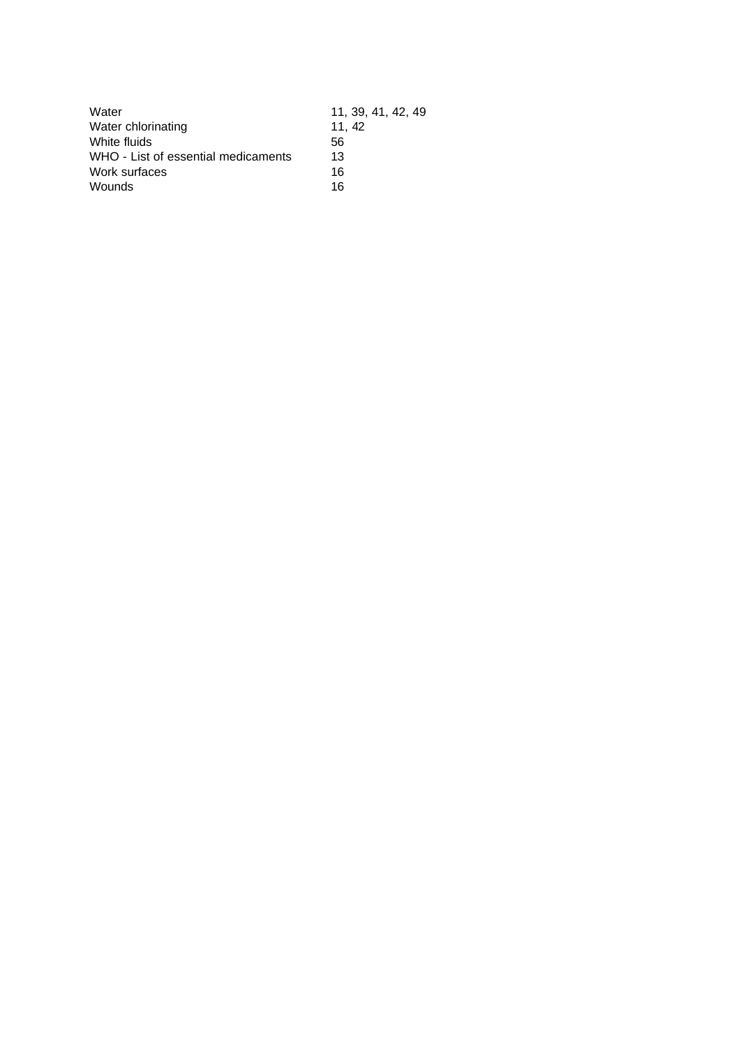| 11, 39, 41, 42, 49 |
|--------------------|
| 11.42              |
| 56                 |
| 13                 |
| 16                 |
| 16                 |
|                    |